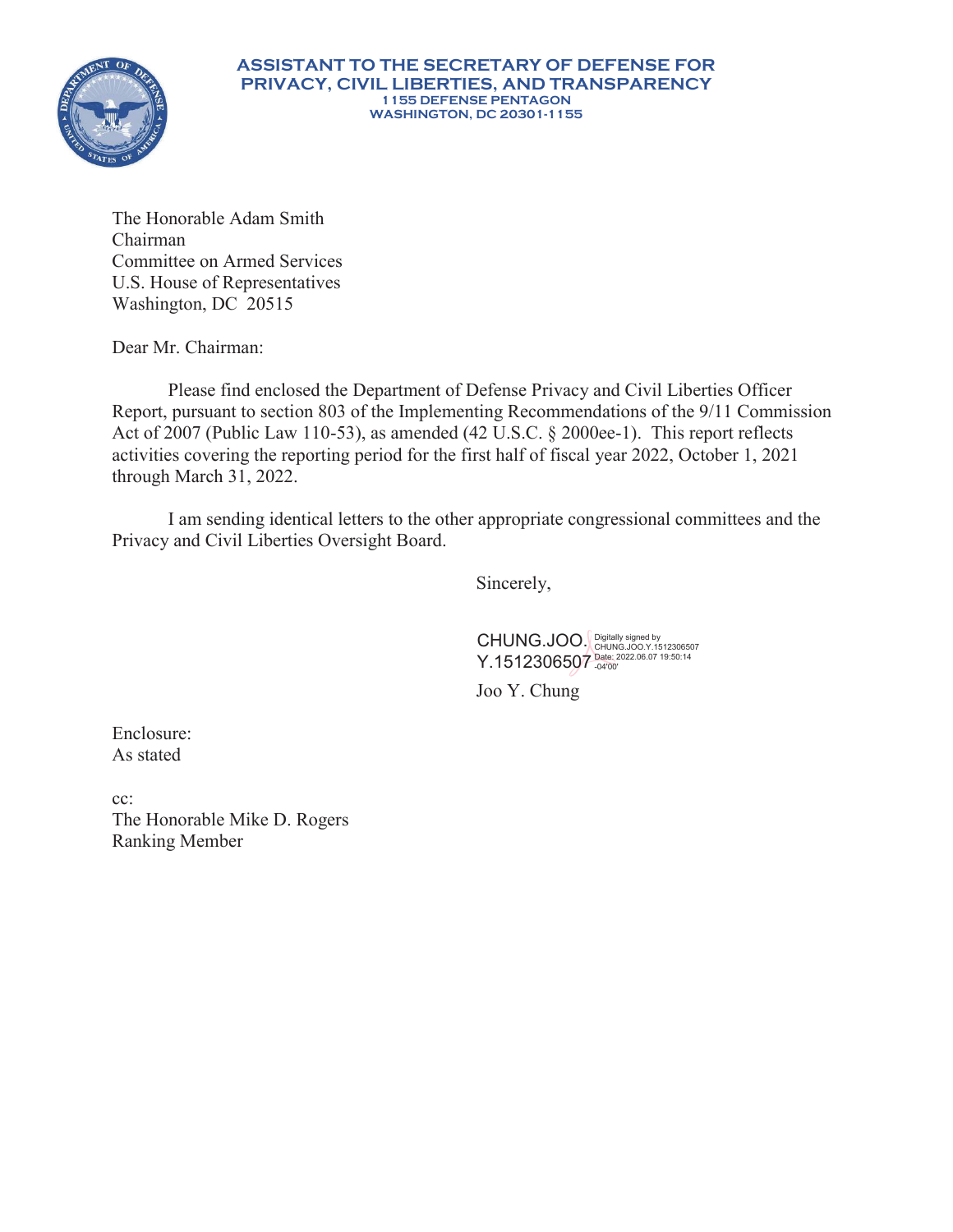

#### **ASSISTANT TO THE SECRETARY OF DEFENSE FOR PRIVACY, CIVIL LIBERTIES, AND TRANSPARENCY 1155 DEFENSE PENTAGON WASHINGTON, DC 20301-1155**

The Honorable Adam Smith Chairman Committee on Armed Services U.S. House of Representatives Washington, DC 20515

Dear Mr. Chairman:

Please find enclosed the Department of Defense Privacy and Civil Liberties Officer Report, pursuant to section 803 of the Implementing Recommendations of the 9/11 Commission Act of 2007 (Public Law 110-53), as amended (42 U.S.C. § 2000ee-1). This report reflects activities covering the reporting period for the first half of fiscal year 2022, October 1, 2021 through March 31, 2022.

I am sending identical letters to the other appropriate congressional committees and the Privacy and Civil Liberties Oversight Board.

Sincerely,

CHUNG.JOO. Digitally signed by<br>CHUNG.JOO. CHUNG.JOO.Y.1512306507 Y.1512306507 Date: 2022.06.07 19:50:14

Joo Y. Chung

Enclosure: As stated

cc: The Honorable Mike D. Rogers Ranking Member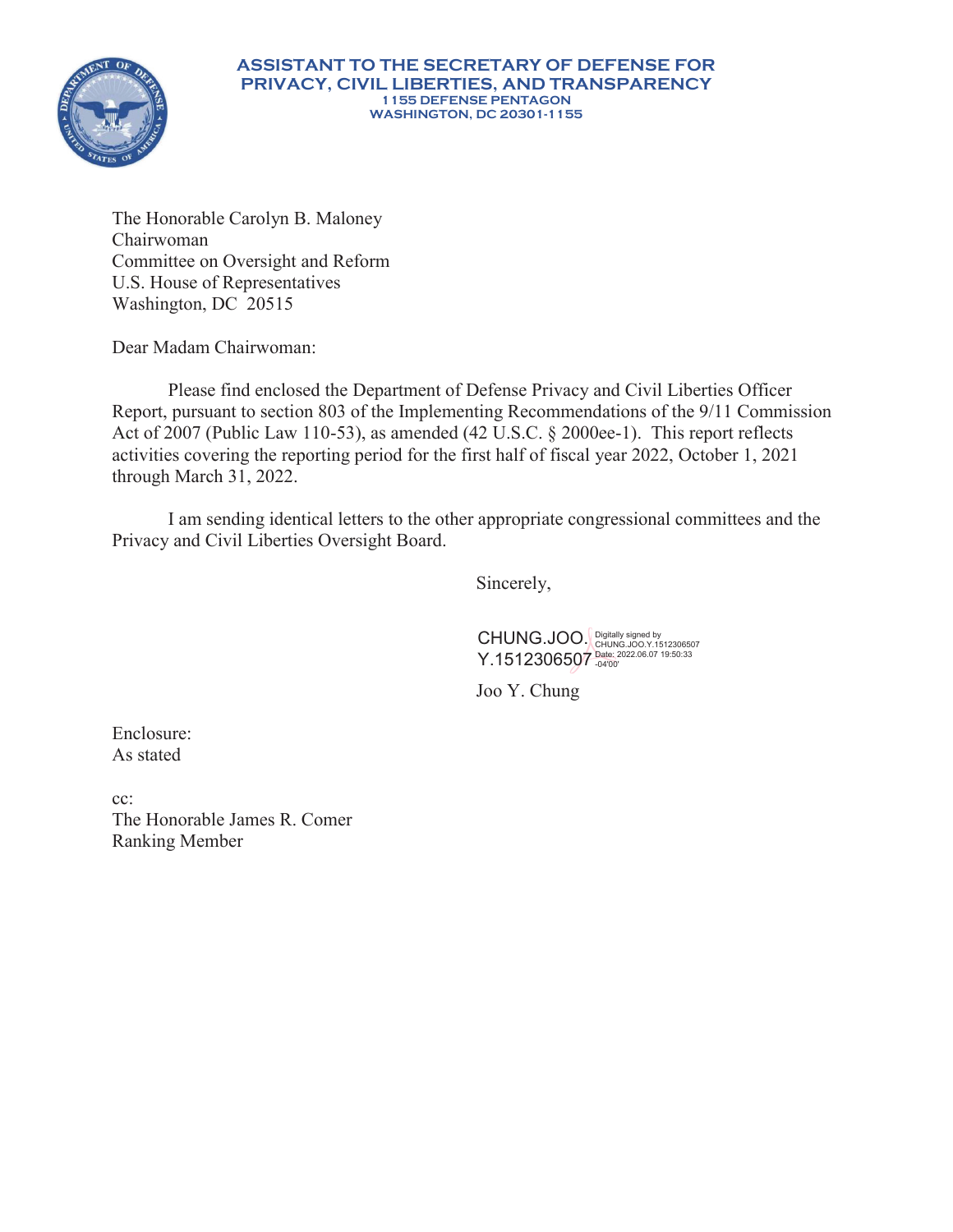

#### **ASSISTANT TO THE SECRETARY OF DEFENSE FOR PRIVACY, CIVIL LIBERTIES, AND TRANSPARENCY 1155 DEFENSE PENTAGON WASHINGTON, DC 20301-1155**

The Honorable Carolyn B. Maloney Chairwoman Committee on Oversight and Reform U.S. House of Representatives Washington, DC 20515

Dear Madam Chairwoman:

Please find enclosed the Department of Defense Privacy and Civil Liberties Officer Report, pursuant to section 803 of the Implementing Recommendations of the 9/11 Commission Act of 2007 (Public Law 110-53), as amended (42 U.S.C. § 2000ee-1). This report reflects activities covering the reporting period for the first half of fiscal year 2022, October 1, 2021 through March 31, 2022.

I am sending identical letters to the other appropriate congressional committees and the Privacy and Civil Liberties Oversight Board.

Sincerely,

CHUNG.JOO. Y.1512306507 Digitally signed by CHUNG.JOO.Y.1512306507 Date: 2022.06.07 19:50:33 -04'00'

Joo Y. Chung

Enclosure: As stated

cc: The Honorable James R. Comer Ranking Member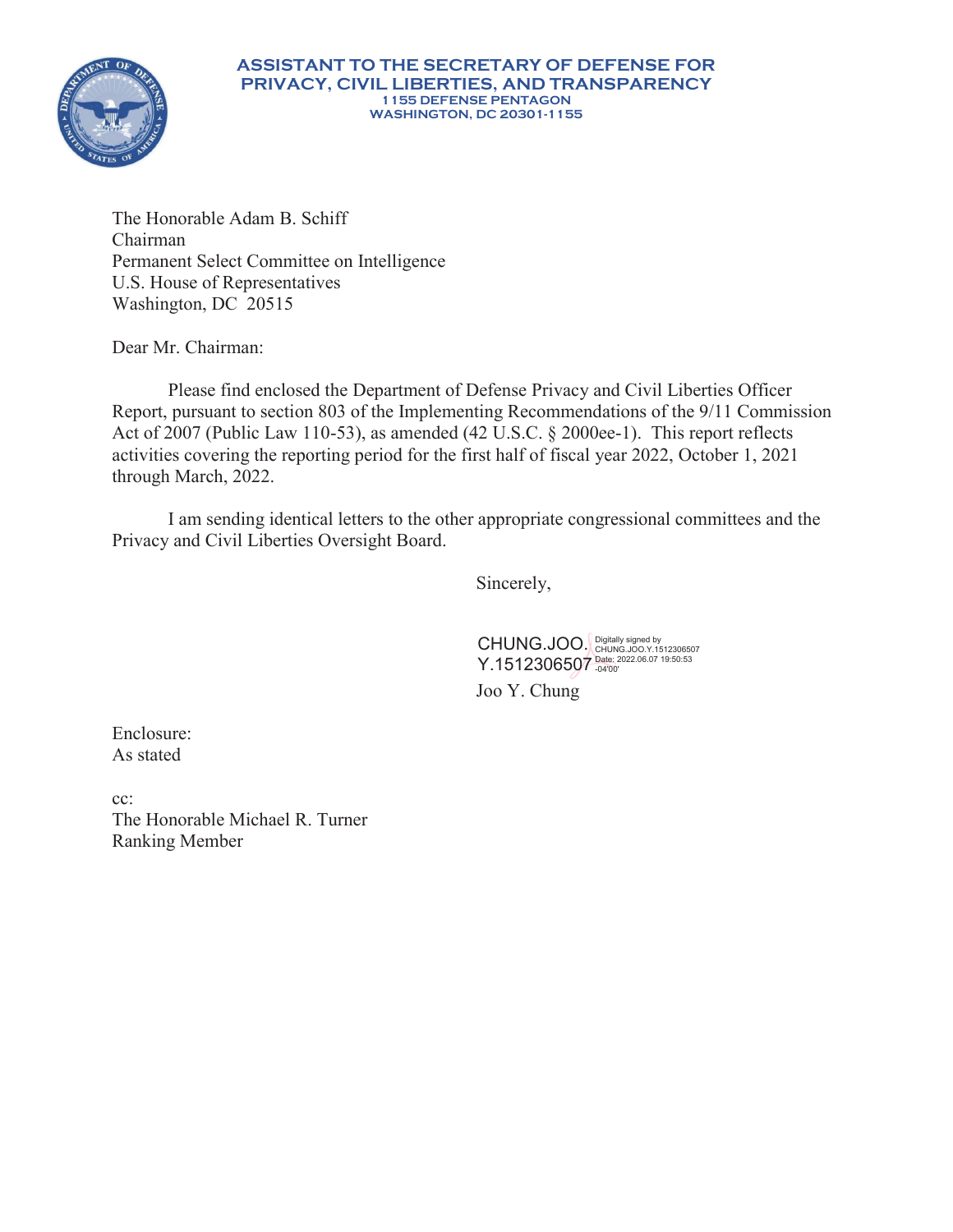

The Honorable Adam B. Schiff Chairman Permanent Select Committee on Intelligence U.S. House of Representatives Washington, DC 20515

Dear Mr. Chairman:

Please find enclosed the Department of Defense Privacy and Civil Liberties Officer Report, pursuant to section 803 of the Implementing Recommendations of the 9/11 Commission Act of 2007 (Public Law 110-53), as amended (42 U.S.C. § 2000ee-1). This report reflects activities covering the reporting period for the first half of fiscal year 2022, October 1, 2021 through March, 2022.

I am sending identical letters to the other appropriate congressional committees and the Privacy and Civil Liberties Oversight Board.

Sincerely,

CHUNG.JOO. Digitally signed by<br>CHUNG.JOO. CHUNG.JOO.Y.1512306507 Y.1512306507 Date: 2022.06.07 19:50:53

Joo Y. Chung

Enclosure: As stated

cc: The Honorable Michael R. Turner Ranking Member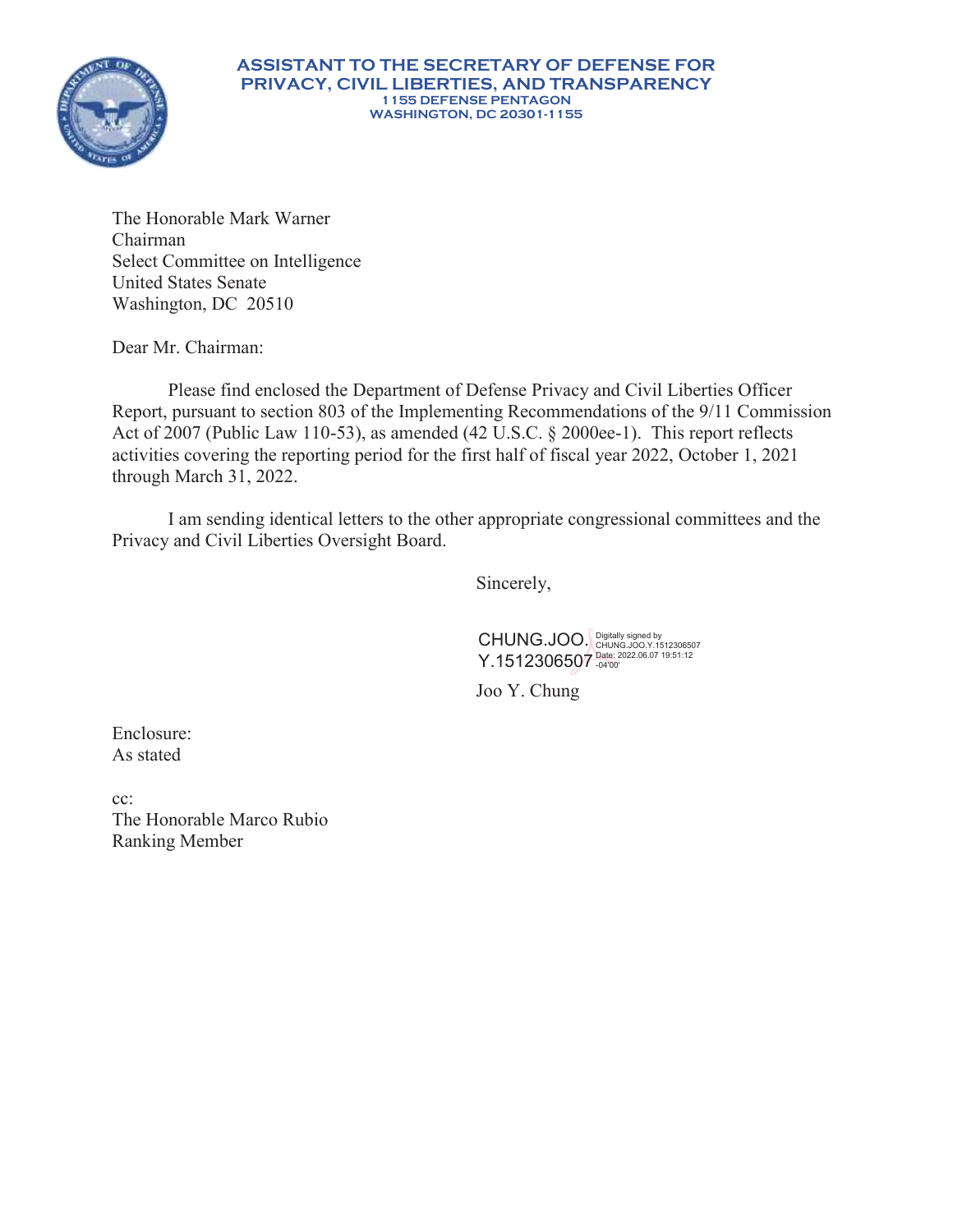

The Honorable Mark Warner Chairman Select Committee on Intelligence United States Senate Washington, DC 20510

Dear Mr. Chairman:

Please find enclosed the Department of Defense Privacy and Civil Liberties Officer Report, pursuant to section 803 of the Implementing Recommendations of the 9/11 Commission Act of 2007 (Public Law 110-53), as amended (42 U.S.C. § 2000ee-1). This report reflects activities covering the reporting period for the first half of fiscal year 2022, October 1, 2021 through March 31, 2022.

I am sending identical letters to the other appropriate congressional committees and the Privacy and Civil Liberties Oversight Board.

Sincerely,

CHUNG.JOO. Digitally signed by<br>CHUNG.JOO. CHUNG.JOO.Y.1512306507 Y.1512306507 Date: 2022.06.07 19:51:12

Joo Y. Chung

Enclosure: As stated

cc: The Honorable Marco Rubio Ranking Member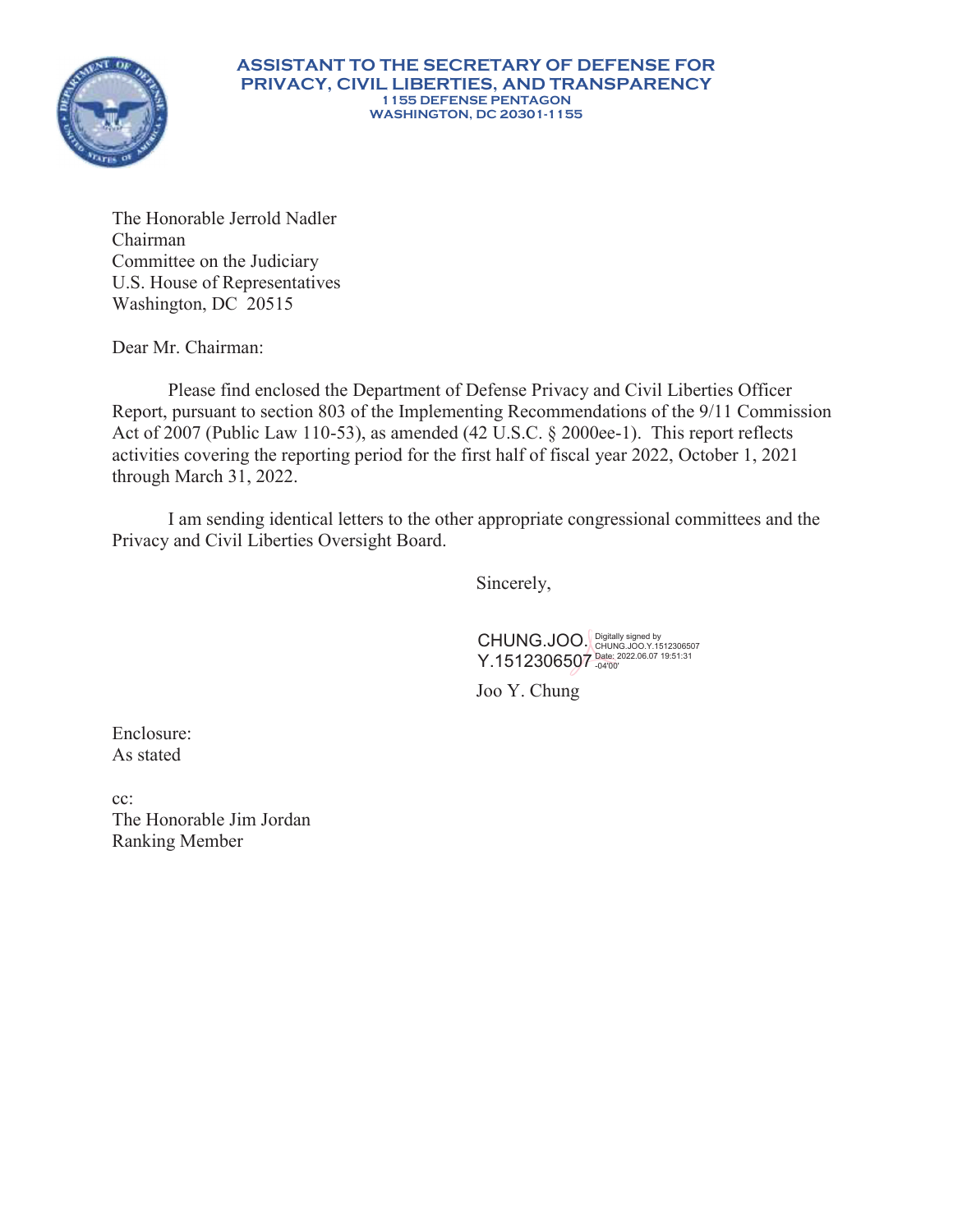

#### **ASSISTANT TO THE SECRETARY OF DEFENSE FOR PRIVACY, CIVIL LIBERTIES, AND TRANSPARENCY 1155 DEFENSE PENTAGON WASHINGTON, DC 20301-1155**

The Honorable Jerrold Nadler Chairman Committee on the Judiciary U.S. House of Representatives Washington, DC 20515

Dear Mr. Chairman:

Please find enclosed the Department of Defense Privacy and Civil Liberties Officer Report, pursuant to section 803 of the Implementing Recommendations of the 9/11 Commission Act of 2007 (Public Law 110-53), as amended (42 U.S.C. § 2000ee-1). This report reflects activities covering the reporting period for the first half of fiscal year 2022, October 1, 2021 through March 31, 2022.

I am sending identical letters to the other appropriate congressional committees and the Privacy and Civil Liberties Oversight Board.

Sincerely,

CHUNG.JOO. Y.1512306507 Digitally signed by CHUNG.JOO.Y.1512306507 Date: 2022.06.07 19:51:31 -04'00'

Joo Y. Chung

Enclosure: As stated

cc: The Honorable Jim Jordan Ranking Member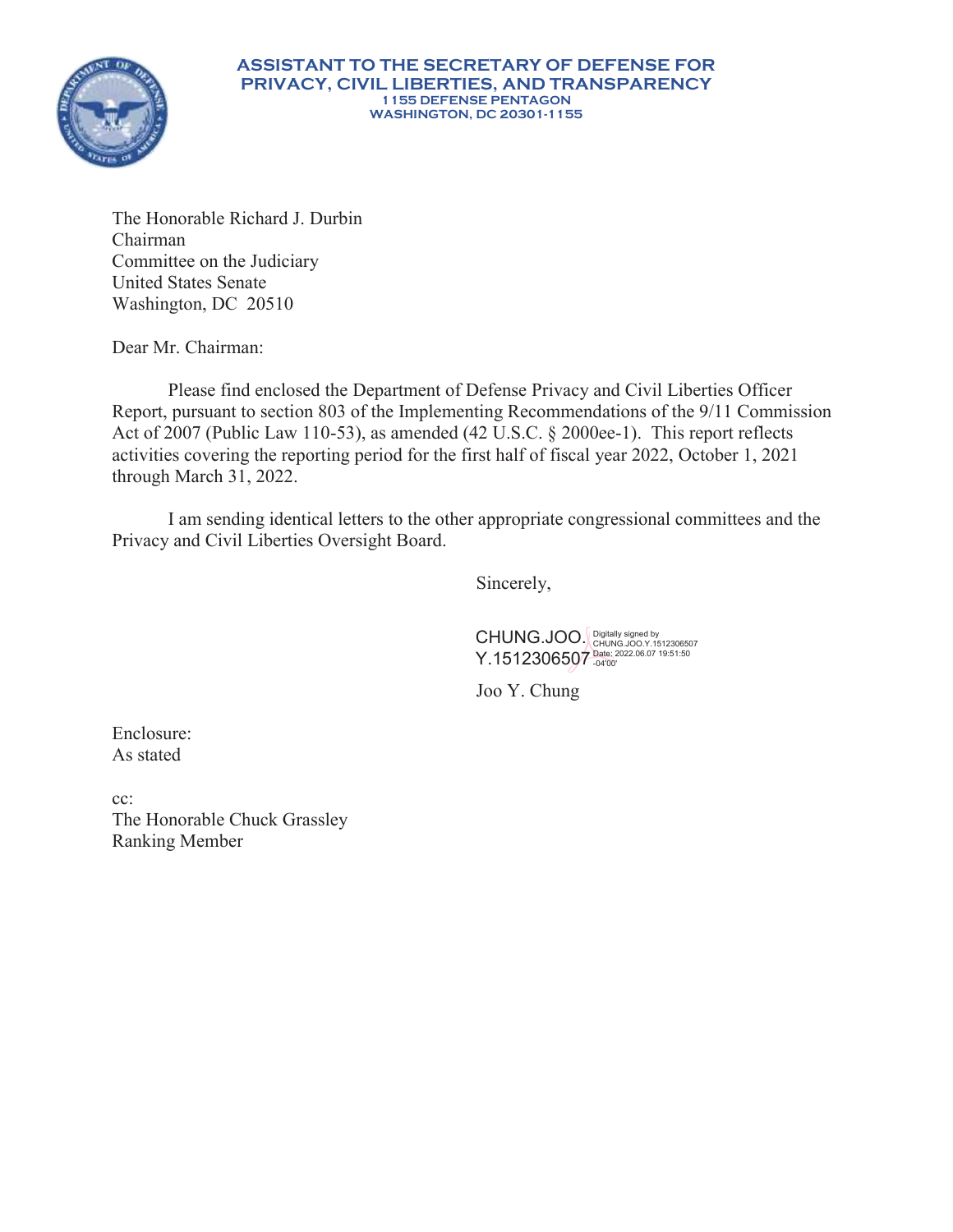

The Honorable Richard J. Durbin Chairman Committee on the Judiciary United States Senate Washington, DC 20510

Dear Mr. Chairman:

Please find enclosed the Department of Defense Privacy and Civil Liberties Officer Report, pursuant to section 803 of the Implementing Recommendations of the 9/11 Commission Act of 2007 (Public Law 110-53), as amended (42 U.S.C. § 2000ee-1). This report reflects activities covering the reporting period for the first half of fiscal year 2022, October 1, 2021 through March 31, 2022.

I am sending identical letters to the other appropriate congressional committees and the Privacy and Civil Liberties Oversight Board.

Sincerely,

CHUNG.JOO. Y.1512306507 Digitally signed by CHUNG.JOO.Y.1512306507 Date: 2022.06.07 19:51:50 -04'00'

Joo Y. Chung

Enclosure: As stated

cc: The Honorable Chuck Grassley Ranking Member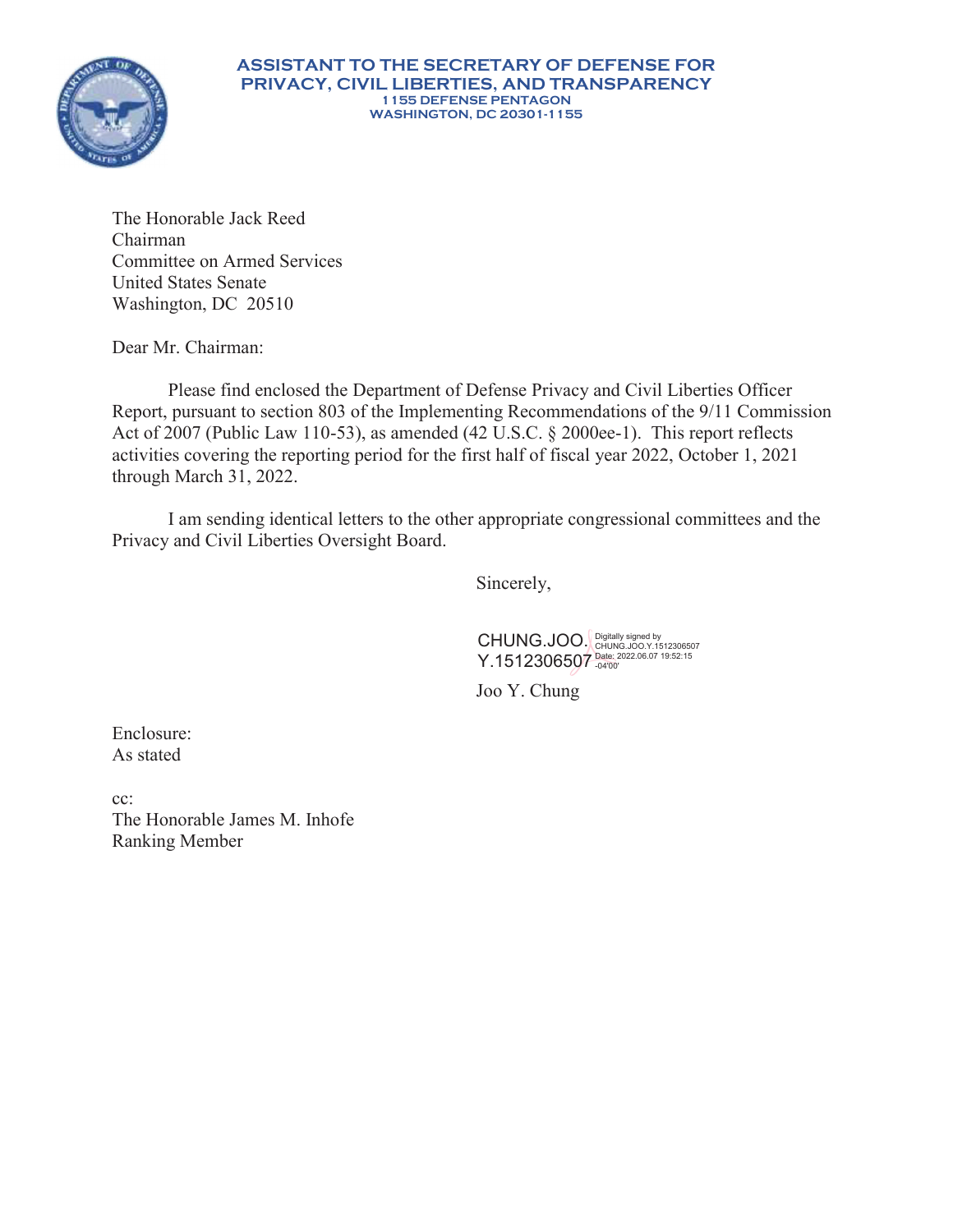

The Honorable Jack Reed Chairman Committee on Armed Services United States Senate Washington, DC 20510

Dear Mr. Chairman:

Please find enclosed the Department of Defense Privacy and Civil Liberties Officer Report, pursuant to section 803 of the Implementing Recommendations of the 9/11 Commission Act of 2007 (Public Law 110-53), as amended (42 U.S.C. § 2000ee-1). This report reflects activities covering the reporting period for the first half of fiscal year 2022, October 1, 2021 through March 31, 2022.

I am sending identical letters to the other appropriate congressional committees and the Privacy and Civil Liberties Oversight Board.

Sincerely,

CHUNG.JOO. Y.1512306507 Digitally signed by CHUNG.JOO.Y.1512306507 Date: 2022.06.07 19:52:15 -04'00'

Joo Y. Chung

Enclosure: As stated

cc: The Honorable James M. Inhofe Ranking Member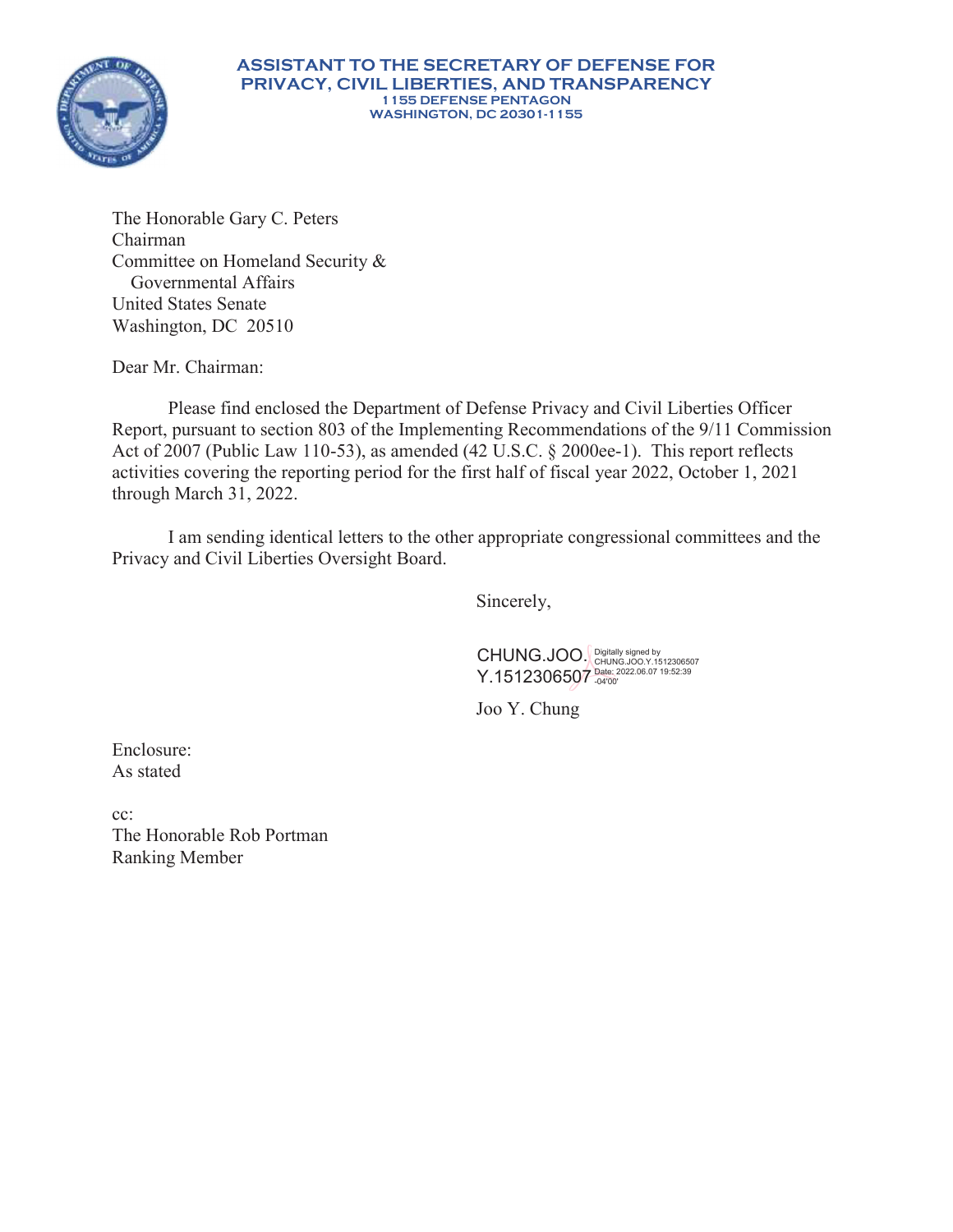

#### **ASSISTANT TO THE SECRETARY OF DEFENSE FOR PRIVACY, CIVIL LIBERTIES, AND TRANSPARENCY 1155 DEFENSE PENTAGON WASHINGTON, DC 20301-1155**

The Honorable Gary C. Peters Chairman Committee on Homeland Security & Governmental Affairs United States Senate Washington, DC 20510

Dear Mr. Chairman:

Please find enclosed the Department of Defense Privacy and Civil Liberties Officer Report, pursuant to section 803 of the Implementing Recommendations of the 9/11 Commission Act of 2007 (Public Law 110-53), as amended (42 U.S.C. § 2000ee-1). This report reflects activities covering the reporting period for the first half of fiscal year 2022, October 1, 2021 through March 31, 2022.

I am sending identical letters to the other appropriate congressional committees and the Privacy and Civil Liberties Oversight Board.

Sincerely,

CHUNG.JOO. Y.1512306507 Digitally signed by CHUNG.JOO.Y.1512306507 Date: 2022.06.07 19:52:39 -04'00'

Joo Y. Chung

Enclosure: As stated

cc: The Honorable Rob Portman Ranking Member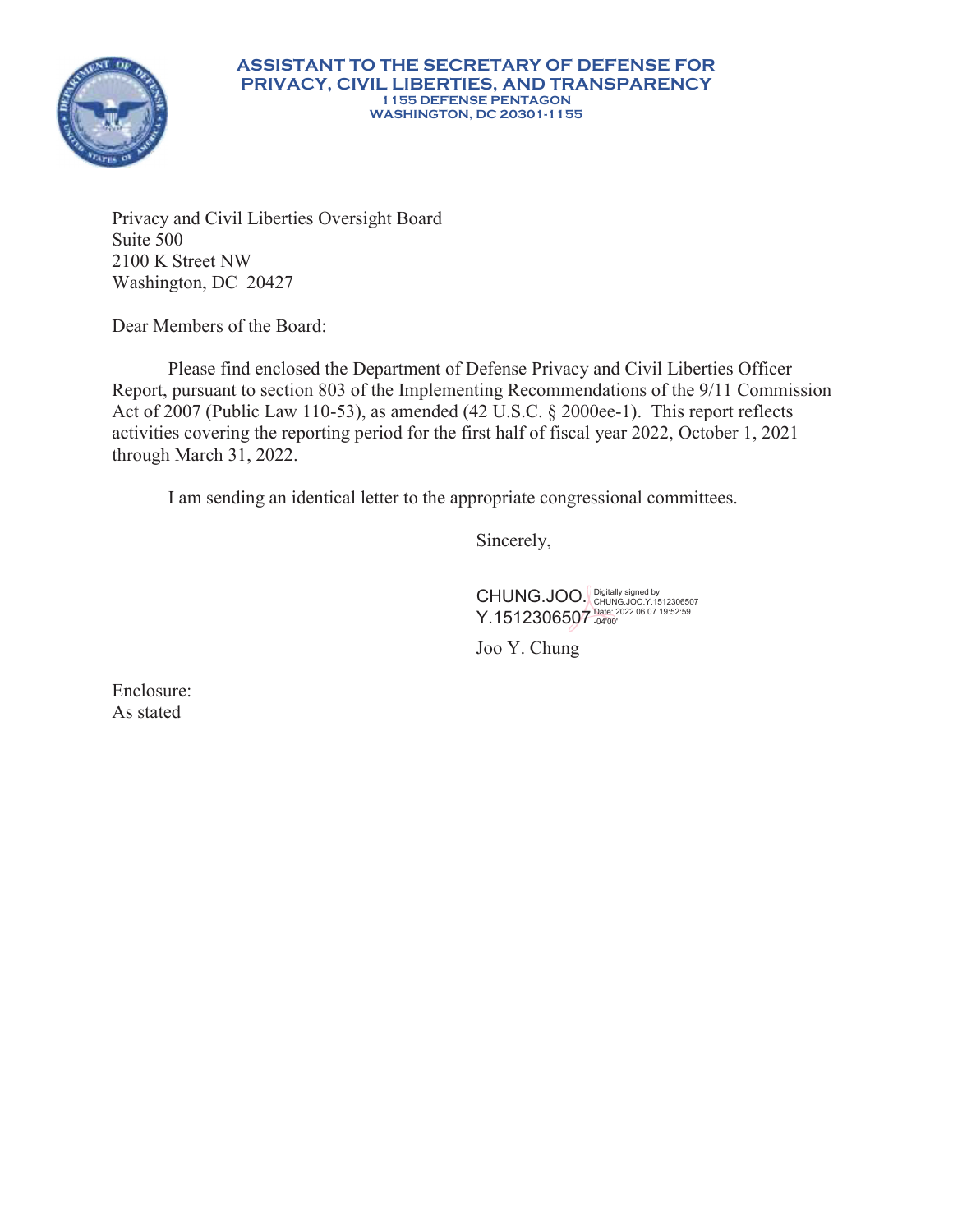

Privacy and Civil Liberties Oversight Board Suite 500 2100 K Street NW Washington, DC 20427

Dear Members of the Board:

Please find enclosed the Department of Defense Privacy and Civil Liberties Officer Report, pursuant to section 803 of the Implementing Recommendations of the 9/11 Commission Act of 2007 (Public Law 110-53), as amended (42 U.S.C. § 2000ee-1). This report reflects activities covering the reporting period for the first half of fiscal year 2022, October 1, 2021 through March 31, 2022.

I am sending an identical letter to the appropriate congressional committees.

Sincerely,

CHUNG.JOO. Y.1512306507 Digitally signed by CHUNG.JOO.Y.1512306507 Date: 2022.06.07 19:52:59 -04'00'

Joo Y. Chung

Enclosure: As stated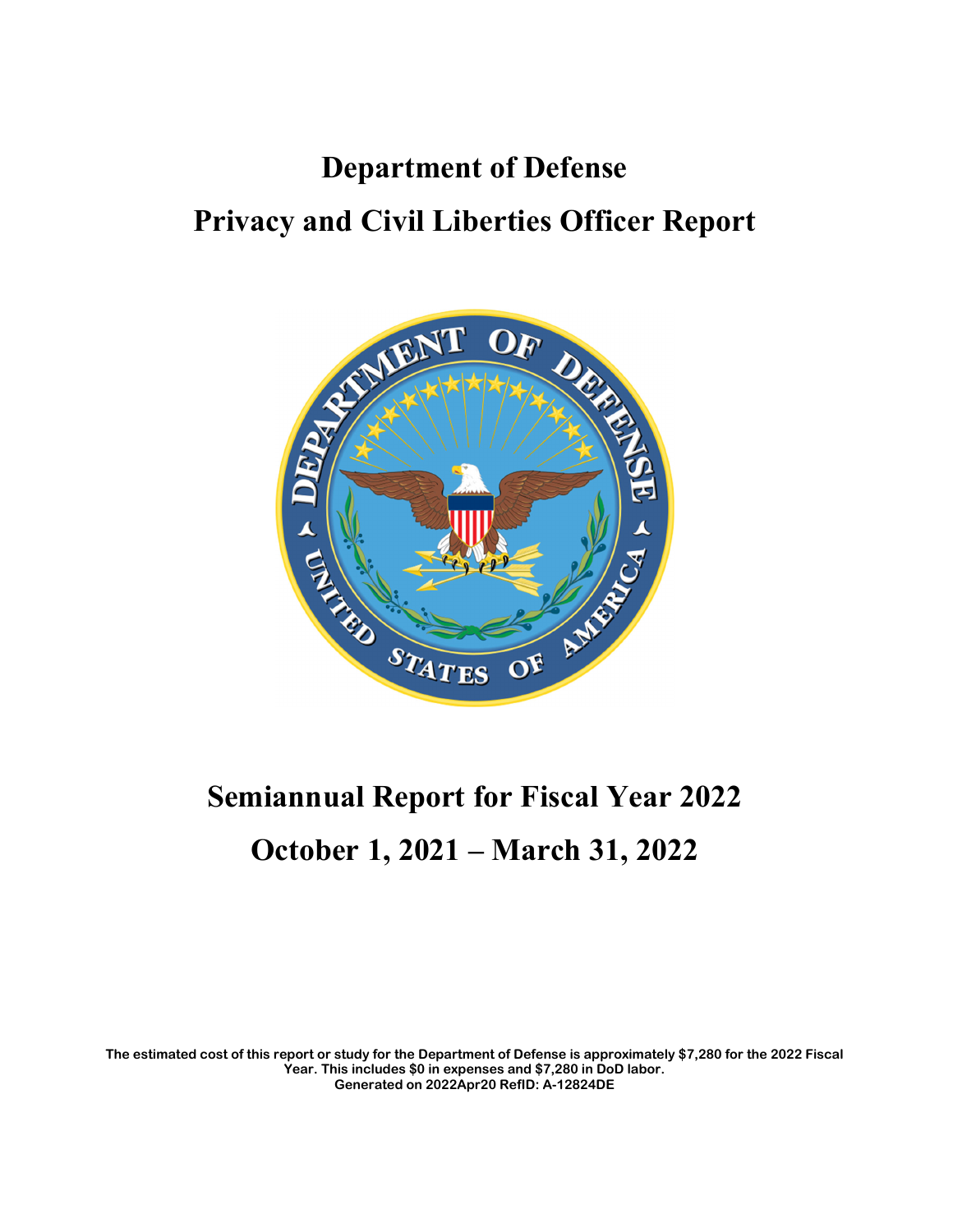# **Department of Defense Privacy and Civil Liberties Officer Report**



# **Semiannual Report for Fiscal Year 2022 October 1, 2021 – March 31, 2022**

**The estimated cost of this report or study for the Department of Defense is approximately \$7,280 for the 2022 Fiscal Year. This includes \$0 in expenses and \$7,280 in DoD labor. Generated on 2022Apr20 RefID: A-12824DE**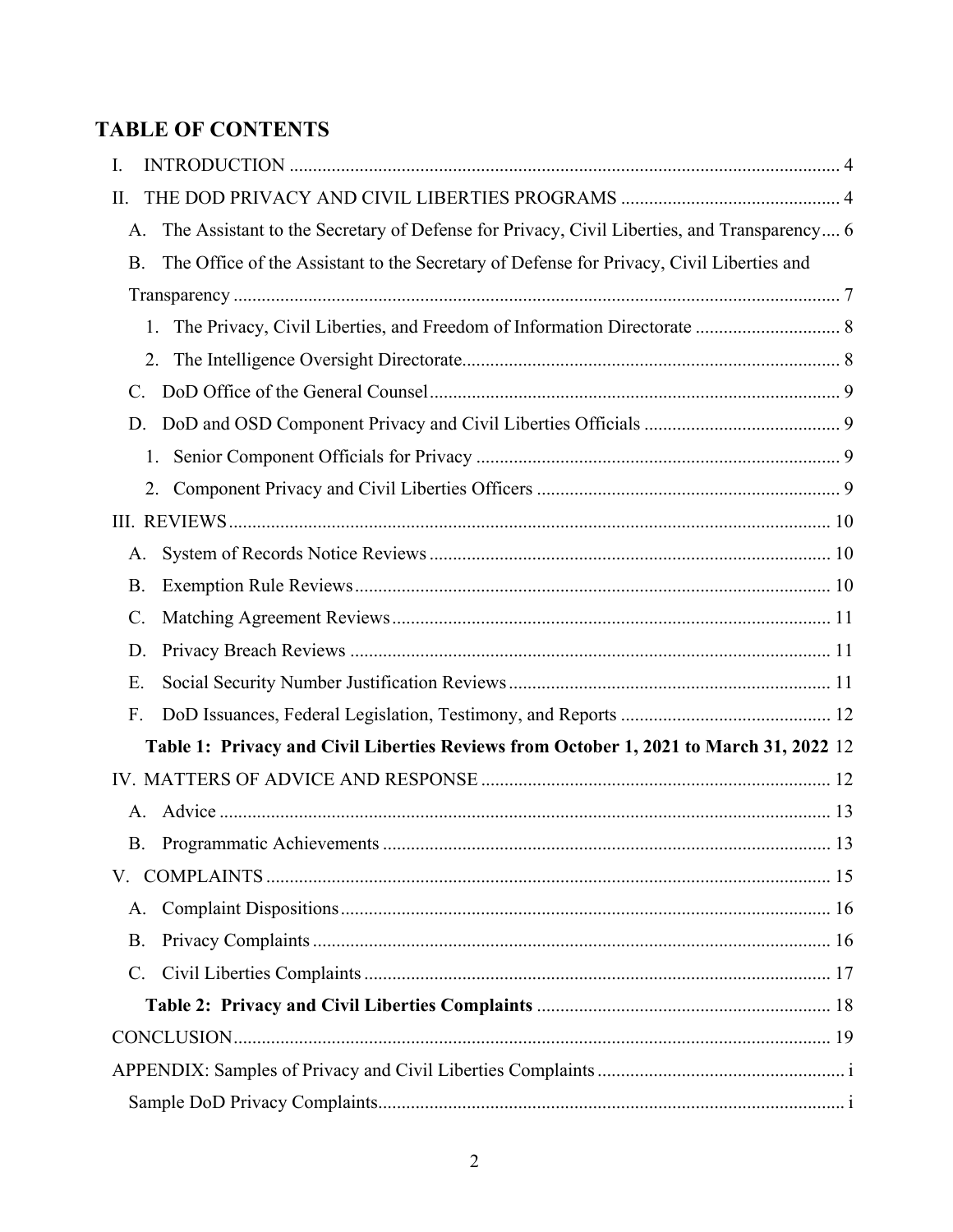## **TABLE OF CONTENTS**

| Ι.                   |                                                                                            |  |
|----------------------|--------------------------------------------------------------------------------------------|--|
| Π.                   |                                                                                            |  |
| А.                   | The Assistant to the Secretary of Defense for Privacy, Civil Liberties, and Transparency 6 |  |
| <b>B.</b>            | The Office of the Assistant to the Secretary of Defense for Privacy, Civil Liberties and   |  |
|                      |                                                                                            |  |
| 1.                   |                                                                                            |  |
|                      |                                                                                            |  |
| C.                   |                                                                                            |  |
| D.                   |                                                                                            |  |
| 1.                   |                                                                                            |  |
| 2.                   |                                                                                            |  |
|                      |                                                                                            |  |
| A.                   |                                                                                            |  |
| Β.                   |                                                                                            |  |
| C.                   |                                                                                            |  |
| D.                   |                                                                                            |  |
| Ε.                   |                                                                                            |  |
| F.                   |                                                                                            |  |
|                      | Table 1: Privacy and Civil Liberties Reviews from October 1, 2021 to March 31, 2022 12     |  |
|                      |                                                                                            |  |
| $\mathsf{A}_{\cdot}$ |                                                                                            |  |
| В.                   |                                                                                            |  |
|                      |                                                                                            |  |
| A.                   |                                                                                            |  |
| B.                   |                                                                                            |  |
| $C_{\cdot}$          |                                                                                            |  |
|                      |                                                                                            |  |
|                      |                                                                                            |  |
|                      |                                                                                            |  |
|                      |                                                                                            |  |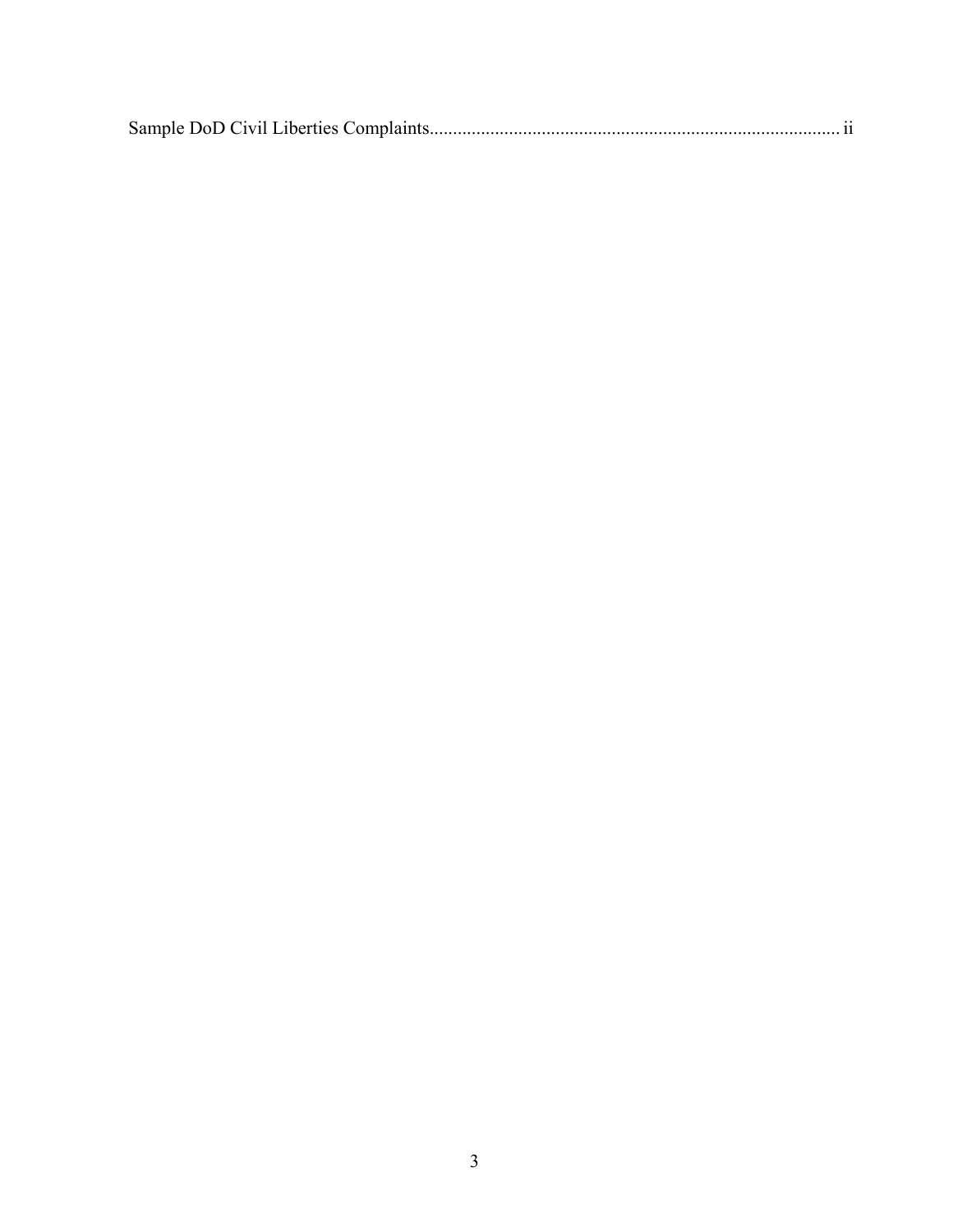|--|--|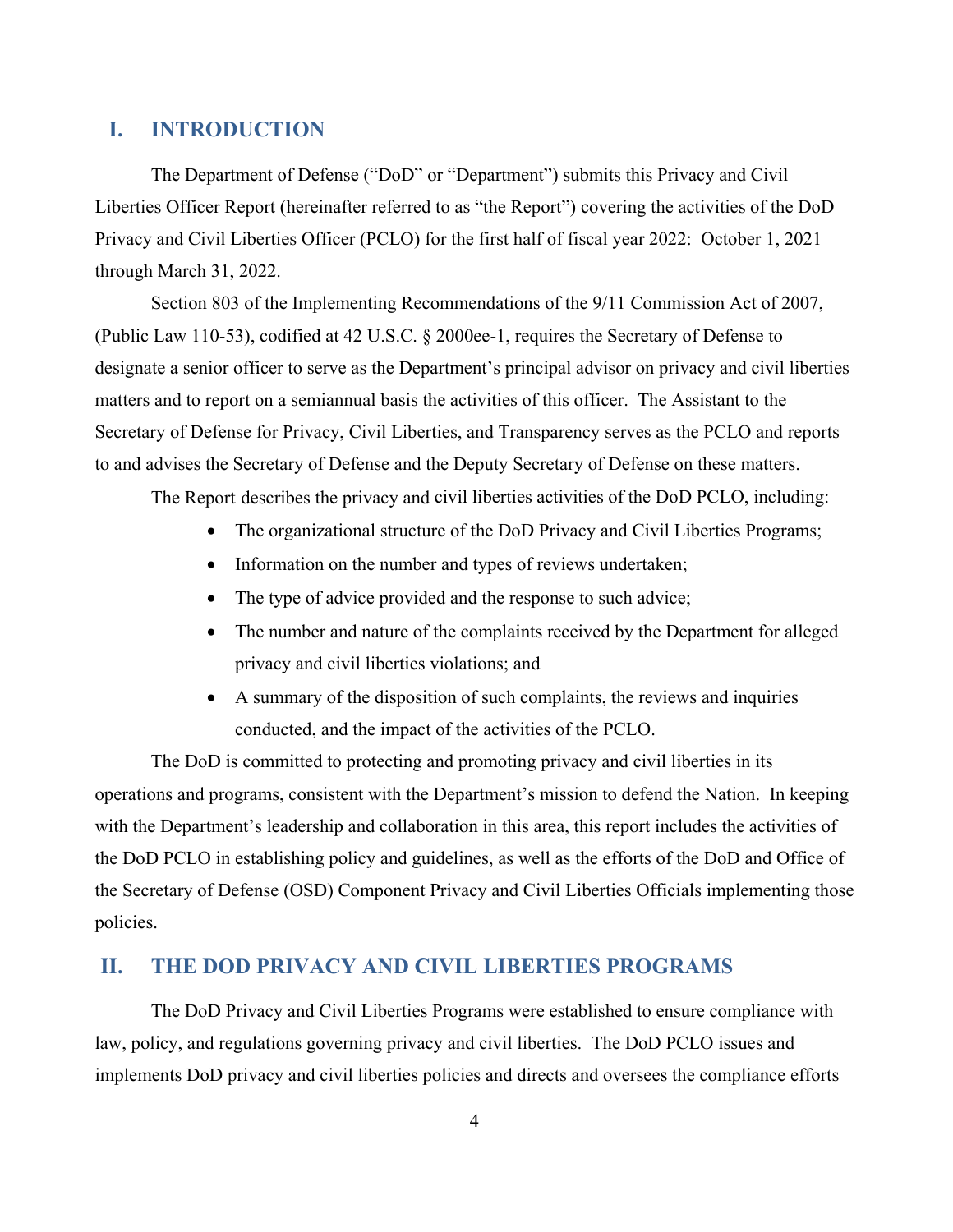## **I. INTRODUCTION**

The Department of Defense ("DoD" or "Department") submits this Privacy and Civil Liberties Officer Report (hereinafter referred to as "the Report") covering the activities of the DoD Privacy and Civil Liberties Officer (PCLO) for the first half of fiscal year 2022: October 1, 2021 through March 31, 2022.

Section 803 of the Implementing Recommendations of the 9/11 Commission Act of 2007, (Public Law 110-53), codified at 42 U.S.C. § 2000ee-1, requires the Secretary of Defense to designate a senior officer to serve as the Department's principal advisor on privacy and civil liberties matters and to report on a semiannual basis the activities of this officer. The Assistant to the Secretary of Defense for Privacy, Civil Liberties, and Transparency serves as the PCLO and reports to and advises the Secretary of Defense and the Deputy Secretary of Defense on these matters.

The Report describes the privacy and civil liberties activities of the DoD PCLO, including:

- The organizational structure of the DoD Privacy and Civil Liberties Programs;
- Information on the number and types of reviews undertaken;
- The type of advice provided and the response to such advice;
- The number and nature of the complaints received by the Department for alleged privacy and civil liberties violations; and
- A summary of the disposition of such complaints, the reviews and inquiries conducted, and the impact of the activities of the PCLO.

 The DoD is committed to protecting and promoting privacy and civil liberties in its operations and programs, consistent with the Department's mission to defend the Nation. In keeping with the Department's leadership and collaboration in this area, this report includes the activities of the DoD PCLO in establishing policy and guidelines, as well as the efforts of the DoD and Office of the Secretary of Defense (OSD) Component Privacy and Civil Liberties Officials implementing those policies.

#### **II. THE DOD PRIVACY AND CIVIL LIBERTIES PROGRAMS**

The DoD Privacy and Civil Liberties Programs were established to ensure compliance with law, policy, and regulations governing privacy and civil liberties. The DoD PCLO issues and implements DoD privacy and civil liberties policies and directs and oversees the compliance efforts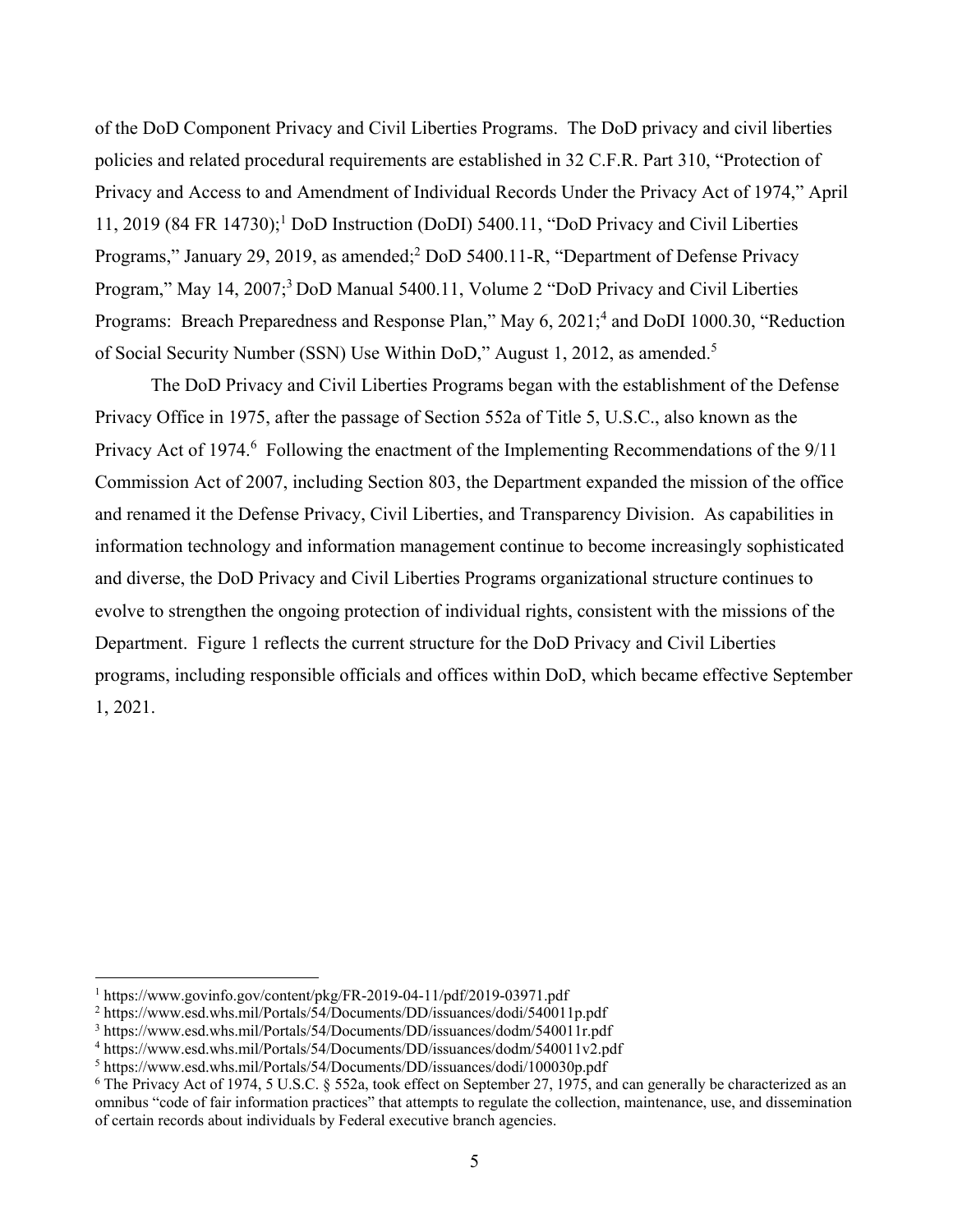of the DoD Component Privacy and Civil Liberties Programs. The DoD privacy and civil liberties policies and related procedural requirements are established in 32 C.F.R. Part 310, "Protection of Privacy and Access to and Amendment of Individual Records Under the Privacy Act of 1974," April 11, 2019 (84 FR 14730);<sup>1</sup> DoD Instruction (DoDI) 5400.11, "DoD Privacy and Civil Liberties Programs," January 29, 2019, as amended;<sup>2</sup> DoD 5400.11-R, "Department of Defense Privacy Program," May 14, 2007;<sup>3</sup> DoD Manual 5400.11, Volume 2 "DoD Privacy and Civil Liberties Programs: Breach Preparedness and Response Plan," May 6, 2021;<sup>4</sup> and DoDI 1000.30, "Reduction of Social Security Number (SSN) Use Within DoD," August 1, 2012, as amended.<sup>5</sup>

The DoD Privacy and Civil Liberties Programs began with the establishment of the Defense Privacy Office in 1975, after the passage of Section 552a of Title 5, U.S.C., also known as the Privacy Act of 1974.<sup>6</sup> Following the enactment of the Implementing Recommendations of the 9/11 Commission Act of 2007, including Section 803, the Department expanded the mission of the office and renamed it the Defense Privacy, Civil Liberties, and Transparency Division. As capabilities in information technology and information management continue to become increasingly sophisticated and diverse, the DoD Privacy and Civil Liberties Programs organizational structure continues to evolve to strengthen the ongoing protection of individual rights, consistent with the missions of the Department. Figure 1 reflects the current structure for the DoD Privacy and Civil Liberties programs, including responsible officials and offices within DoD, which became effective September 1, 2021.

 $\overline{a}$ 

<sup>1</sup> https://www.govinfo.gov/content/pkg/FR-2019-04-11/pdf/2019-03971.pdf

<sup>&</sup>lt;sup>2</sup> https://www.esd.whs.mil/Portals/54/Documents/DD/issuances/dodi/540011p.pdf

<sup>&</sup>lt;sup>3</sup> https://www.esd.whs.mil/Portals/54/Documents/DD/issuances/dodm/540011r.pdf<br><sup>4</sup> https://www.esd.whs.mil/Portals/54/Documents/DD/issuances/dodm/540011y2.pd

https://www.esd.whs.mil/Portals/54/Documents/DD/issuances/dodm/540011v2.pdf

<sup>5</sup> https://www.esd.whs.mil/Portals/54/Documents/DD/issuances/dodi/100030p.pdf

<sup>&</sup>lt;sup>6</sup> The Privacy Act of 1974, 5 U.S.C. § 552a, took effect on September 27, 1975, and can generally be characterized as an omnibus "code of fair information practices" that attempts to regulate the collection, maintenance, use, and dissemination of certain records about individuals by Federal executive branch agencies.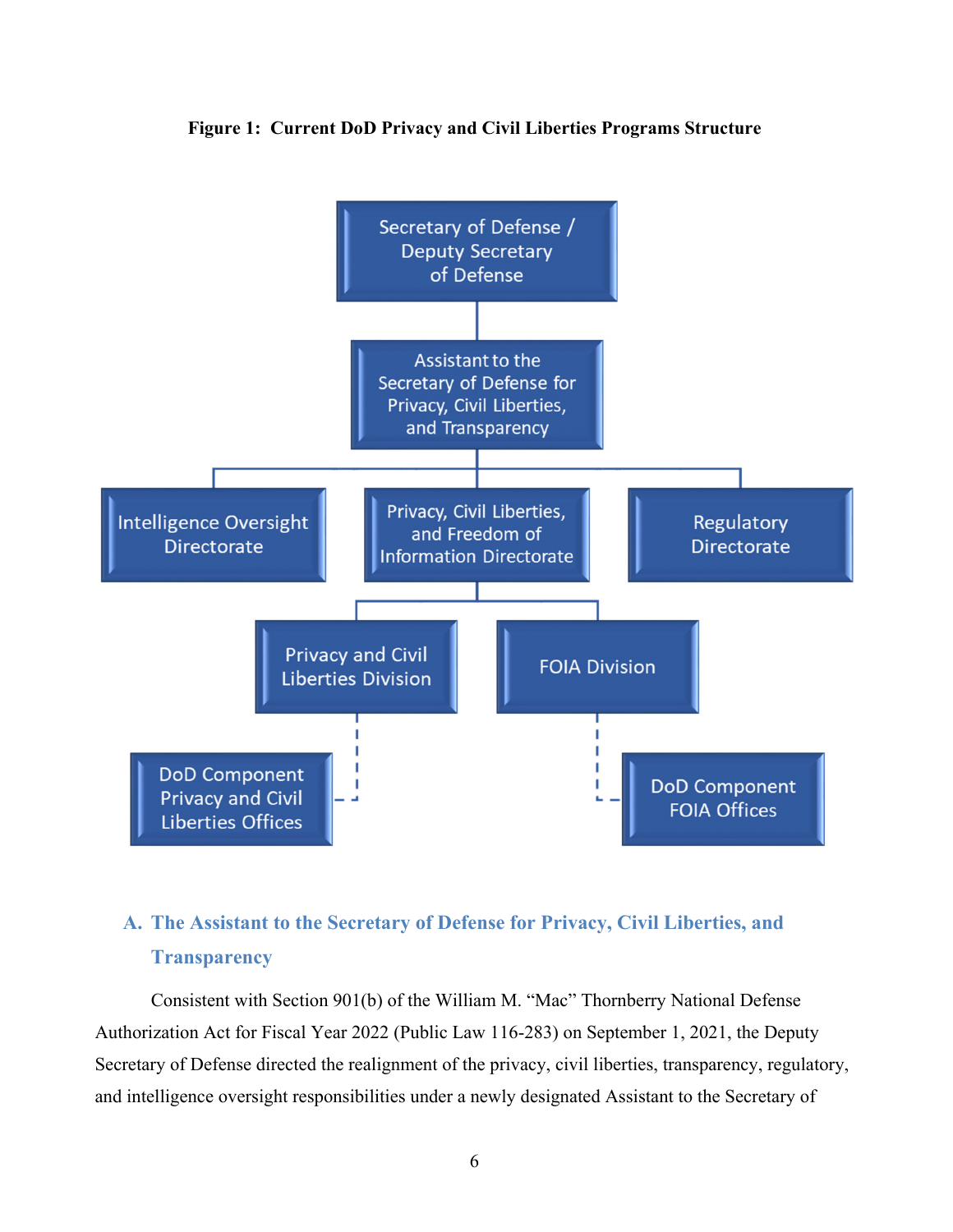

#### **Figure 1: Current DoD Privacy and Civil Liberties Programs Structure**

# **A. The Assistant to the Secretary of Defense for Privacy, Civil Liberties, and Transparency**

Consistent with Section 901(b) of the William M. "Mac" Thornberry National Defense Authorization Act for Fiscal Year 2022 (Public Law 116-283) on September 1, 2021, the Deputy Secretary of Defense directed the realignment of the privacy, civil liberties, transparency, regulatory, and intelligence oversight responsibilities under a newly designated Assistant to the Secretary of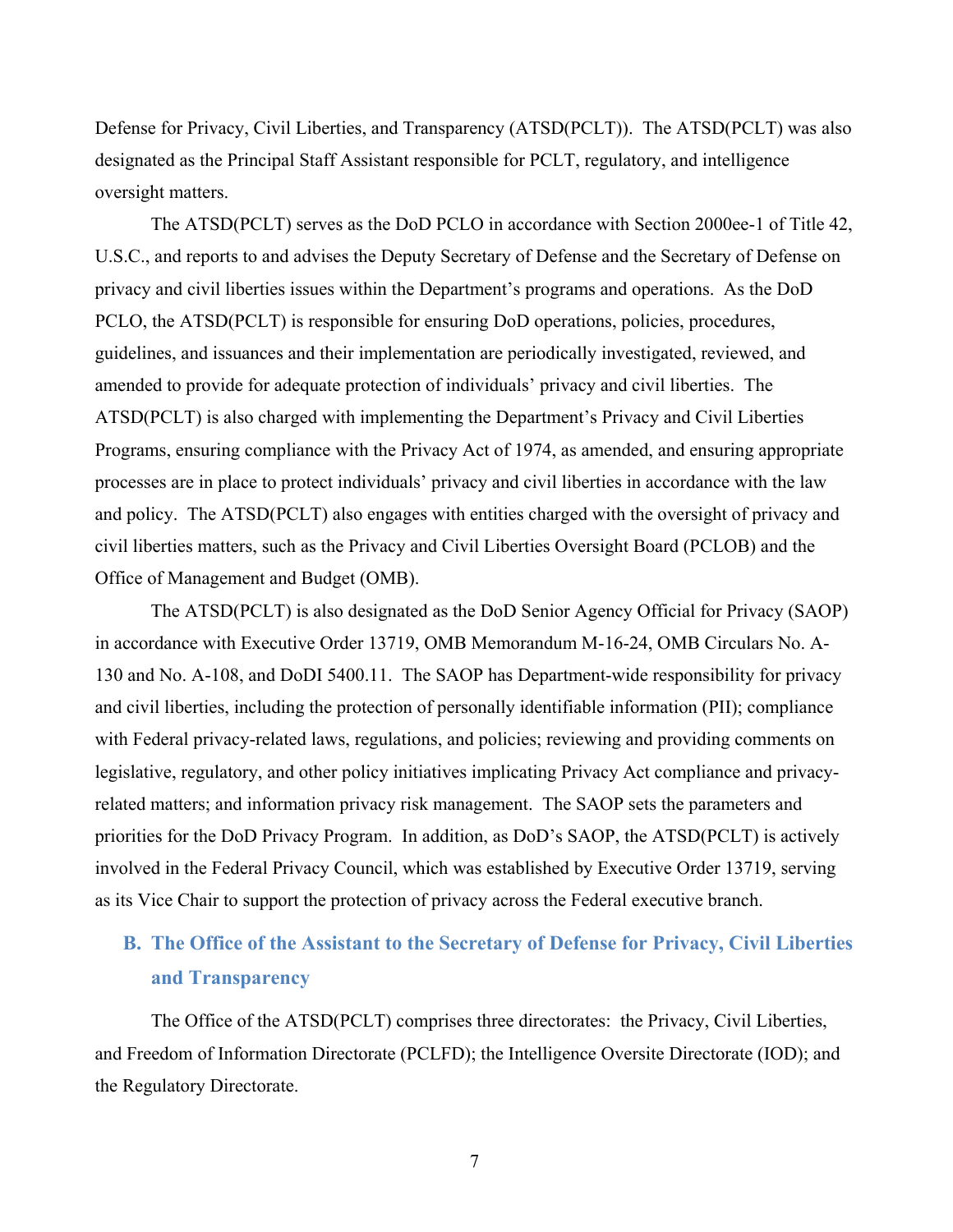Defense for Privacy, Civil Liberties, and Transparency (ATSD(PCLT)). The ATSD(PCLT) was also designated as the Principal Staff Assistant responsible for PCLT, regulatory, and intelligence oversight matters.

The ATSD(PCLT) serves as the DoD PCLO in accordance with Section 2000ee-1 of Title 42, U.S.C., and reports to and advises the Deputy Secretary of Defense and the Secretary of Defense on privacy and civil liberties issues within the Department's programs and operations. As the DoD PCLO, the ATSD(PCLT) is responsible for ensuring DoD operations, policies, procedures, guidelines, and issuances and their implementation are periodically investigated, reviewed, and amended to provide for adequate protection of individuals' privacy and civil liberties. The ATSD(PCLT) is also charged with implementing the Department's Privacy and Civil Liberties Programs, ensuring compliance with the Privacy Act of 1974, as amended, and ensuring appropriate processes are in place to protect individuals' privacy and civil liberties in accordance with the law and policy. The ATSD(PCLT) also engages with entities charged with the oversight of privacy and civil liberties matters, such as the Privacy and Civil Liberties Oversight Board (PCLOB) and the Office of Management and Budget (OMB).

The ATSD(PCLT) is also designated as the DoD Senior Agency Official for Privacy (SAOP) in accordance with Executive Order 13719, OMB Memorandum M-16-24, OMB Circulars No. A-130 and No. A-108, and DoDI 5400.11. The SAOP has Department-wide responsibility for privacy and civil liberties, including the protection of personally identifiable information (PII); compliance with Federal privacy-related laws, regulations, and policies; reviewing and providing comments on legislative, regulatory, and other policy initiatives implicating Privacy Act compliance and privacyrelated matters; and information privacy risk management. The SAOP sets the parameters and priorities for the DoD Privacy Program. In addition, as DoD's SAOP, the ATSD(PCLT) is actively involved in the Federal Privacy Council, which was established by Executive Order 13719, serving as its Vice Chair to support the protection of privacy across the Federal executive branch.

# **B. The Office of the Assistant to the Secretary of Defense for Privacy, Civil Liberties and Transparency**

The Office of the ATSD(PCLT) comprises three directorates: the Privacy, Civil Liberties, and Freedom of Information Directorate (PCLFD); the Intelligence Oversite Directorate (IOD); and the Regulatory Directorate.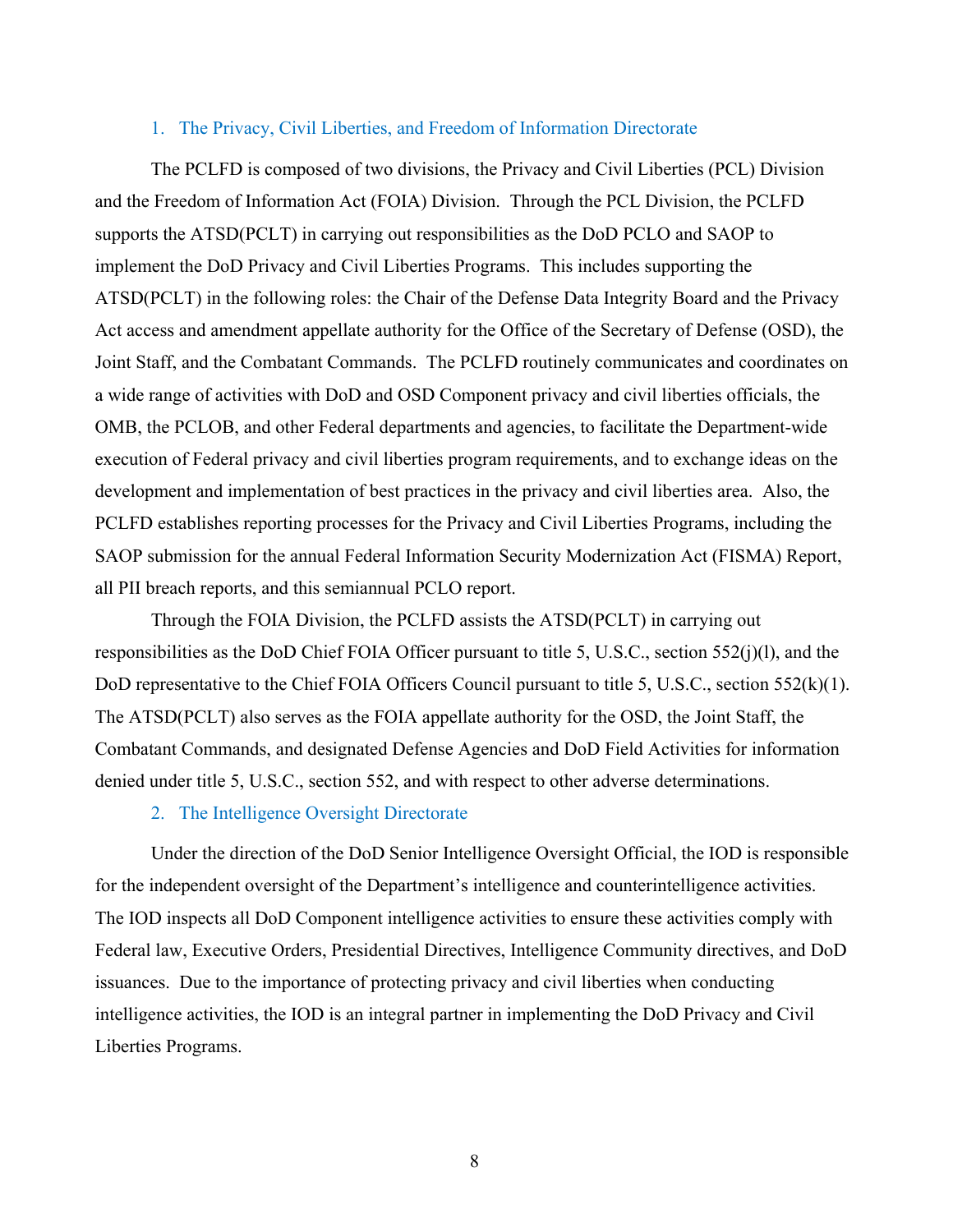#### 1. The Privacy, Civil Liberties, and Freedom of Information Directorate

The PCLFD is composed of two divisions, the Privacy and Civil Liberties (PCL) Division and the Freedom of Information Act (FOIA) Division. Through the PCL Division, the PCLFD supports the ATSD(PCLT) in carrying out responsibilities as the DoD PCLO and SAOP to implement the DoD Privacy and Civil Liberties Programs. This includes supporting the ATSD(PCLT) in the following roles: the Chair of the Defense Data Integrity Board and the Privacy Act access and amendment appellate authority for the Office of the Secretary of Defense (OSD), the Joint Staff, and the Combatant Commands. The PCLFD routinely communicates and coordinates on a wide range of activities with DoD and OSD Component privacy and civil liberties officials, the OMB, the PCLOB, and other Federal departments and agencies, to facilitate the Department-wide execution of Federal privacy and civil liberties program requirements, and to exchange ideas on the development and implementation of best practices in the privacy and civil liberties area. Also, the PCLFD establishes reporting processes for the Privacy and Civil Liberties Programs, including the SAOP submission for the annual Federal Information Security Modernization Act (FISMA) Report, all PII breach reports, and this semiannual PCLO report.

Through the FOIA Division, the PCLFD assists the ATSD(PCLT) in carrying out responsibilities as the DoD Chief FOIA Officer pursuant to title 5, U.S.C., section 552(j)(l), and the DoD representative to the Chief FOIA Officers Council pursuant to title 5, U.S.C., section 552(k)(1). The ATSD(PCLT) also serves as the FOIA appellate authority for the OSD, the Joint Staff, the Combatant Commands, and designated Defense Agencies and DoD Field Activities for information denied under title 5, U.S.C., section 552, and with respect to other adverse determinations.

#### 2. The Intelligence Oversight Directorate

Under the direction of the DoD Senior Intelligence Oversight Official, the IOD is responsible for the independent oversight of the Department's intelligence and counterintelligence activities. The IOD inspects all DoD Component intelligence activities to ensure these activities comply with Federal law, Executive Orders, Presidential Directives, Intelligence Community directives, and DoD issuances. Due to the importance of protecting privacy and civil liberties when conducting intelligence activities, the IOD is an integral partner in implementing the DoD Privacy and Civil Liberties Programs.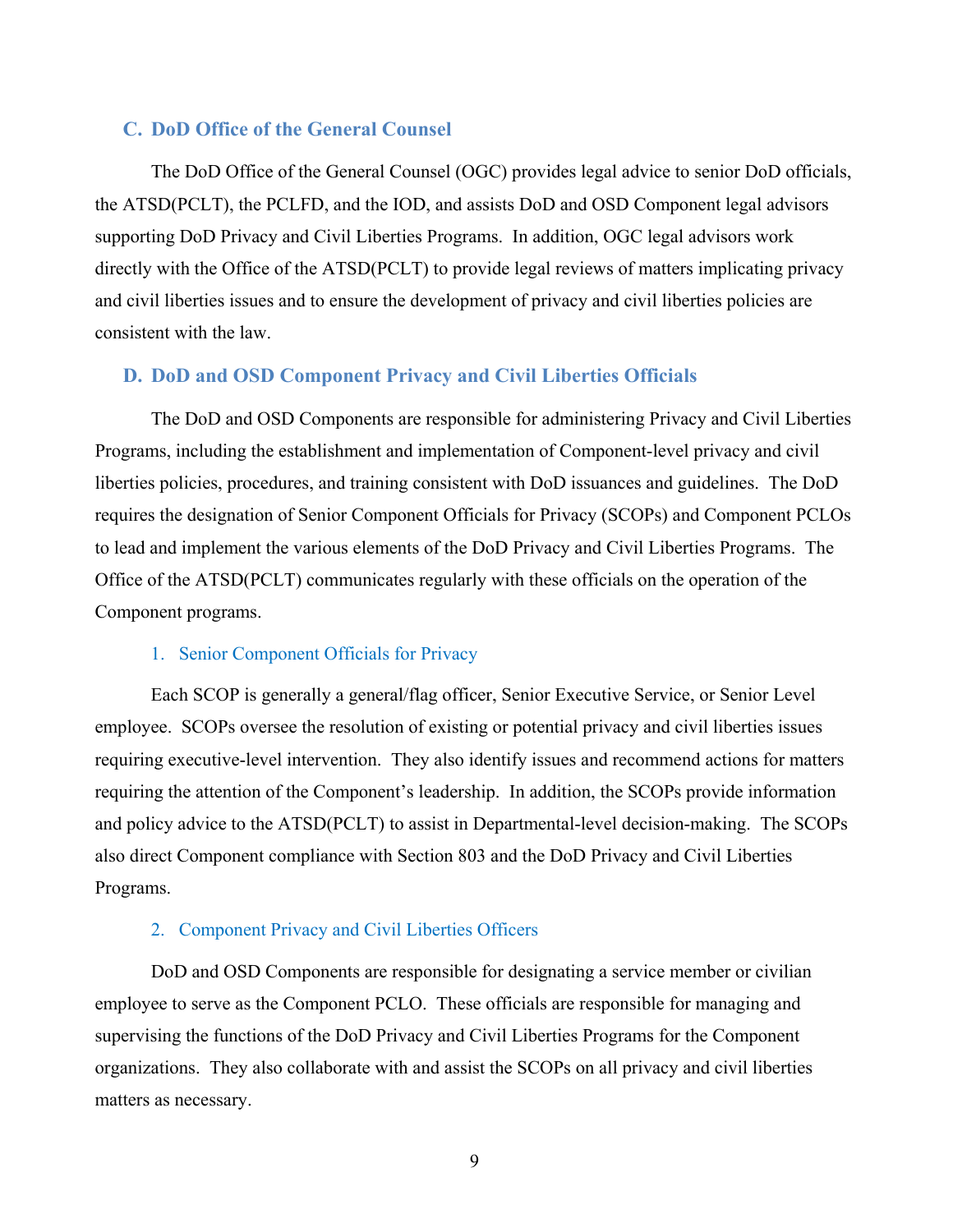#### **C. DoD Office of the General Counsel**

The DoD Office of the General Counsel (OGC) provides legal advice to senior DoD officials, the ATSD(PCLT), the PCLFD, and the IOD, and assists DoD and OSD Component legal advisors supporting DoD Privacy and Civil Liberties Programs. In addition, OGC legal advisors work directly with the Office of the ATSD(PCLT) to provide legal reviews of matters implicating privacy and civil liberties issues and to ensure the development of privacy and civil liberties policies are consistent with the law.

#### **D. DoD and OSD Component Privacy and Civil Liberties Officials**

The DoD and OSD Components are responsible for administering Privacy and Civil Liberties Programs, including the establishment and implementation of Component-level privacy and civil liberties policies, procedures, and training consistent with DoD issuances and guidelines. The DoD requires the designation of Senior Component Officials for Privacy (SCOPs) and Component PCLOs to lead and implement the various elements of the DoD Privacy and Civil Liberties Programs. The Office of the ATSD(PCLT) communicates regularly with these officials on the operation of the Component programs.

#### 1. Senior Component Officials for Privacy

Each SCOP is generally a general/flag officer, Senior Executive Service, or Senior Level employee. SCOPs oversee the resolution of existing or potential privacy and civil liberties issues requiring executive-level intervention. They also identify issues and recommend actions for matters requiring the attention of the Component's leadership. In addition, the SCOPs provide information and policy advice to the ATSD(PCLT) to assist in Departmental-level decision-making. The SCOPs also direct Component compliance with Section 803 and the DoD Privacy and Civil Liberties Programs.

#### 2. Component Privacy and Civil Liberties Officers

DoD and OSD Components are responsible for designating a service member or civilian employee to serve as the Component PCLO. These officials are responsible for managing and supervising the functions of the DoD Privacy and Civil Liberties Programs for the Component organizations. They also collaborate with and assist the SCOPs on all privacy and civil liberties matters as necessary.

9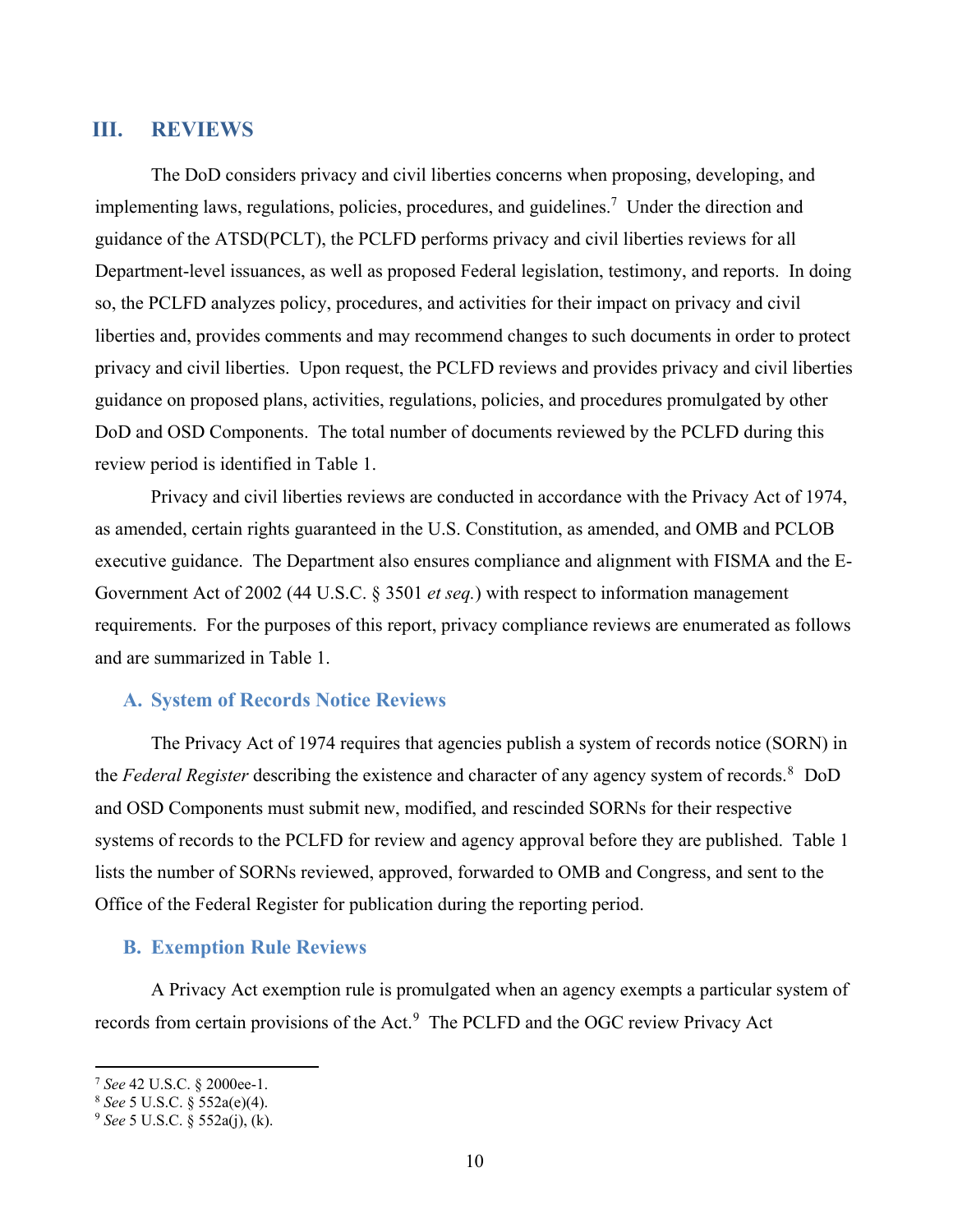## **III. REVIEWS**

The DoD considers privacy and civil liberties concerns when proposing, developing, and implementing laws, regulations, policies, procedures, and guidelines.<sup>7</sup> Under the direction and guidance of the ATSD(PCLT), the PCLFD performs privacy and civil liberties reviews for all Department-level issuances, as well as proposed Federal legislation, testimony, and reports. In doing so, the PCLFD analyzes policy, procedures, and activities for their impact on privacy and civil liberties and, provides comments and may recommend changes to such documents in order to protect privacy and civil liberties. Upon request, the PCLFD reviews and provides privacy and civil liberties guidance on proposed plans, activities, regulations, policies, and procedures promulgated by other DoD and OSD Components. The total number of documents reviewed by the PCLFD during this review period is identified in Table 1.

 Privacy and civil liberties reviews are conducted in accordance with the Privacy Act of 1974, as amended, certain rights guaranteed in the U.S. Constitution, as amended, and OMB and PCLOB executive guidance. The Department also ensures compliance and alignment with FISMA and the E-Government Act of 2002 (44 U.S.C. § 3501 *et seq.*) with respect to information management requirements. For the purposes of this report, privacy compliance reviews are enumerated as follows and are summarized in Table 1.

#### **A. System of Records Notice Reviews**

The Privacy Act of 1974 requires that agencies publish a system of records notice (SORN) in the *Federal Register* describing the existence and character of any agency system of records.<sup>8</sup> DoD and OSD Components must submit new, modified, and rescinded SORNs for their respective systems of records to the PCLFD for review and agency approval before they are published. Table 1 lists the number of SORNs reviewed, approved, forwarded to OMB and Congress, and sent to the Office of the Federal Register for publication during the reporting period.

#### **B. Exemption Rule Reviews**

A Privacy Act exemption rule is promulgated when an agency exempts a particular system of records from certain provisions of the Act.<sup>9</sup> The PCLFD and the OGC review Privacy Act

 $\overline{a}$ 

<sup>7</sup> *See* 42 U.S.C. § 2000ee-1. 8 *See* 5 U.S.C. § 552a(e)(4). 9 *See* 5 U.S.C. § 552a(j), (k).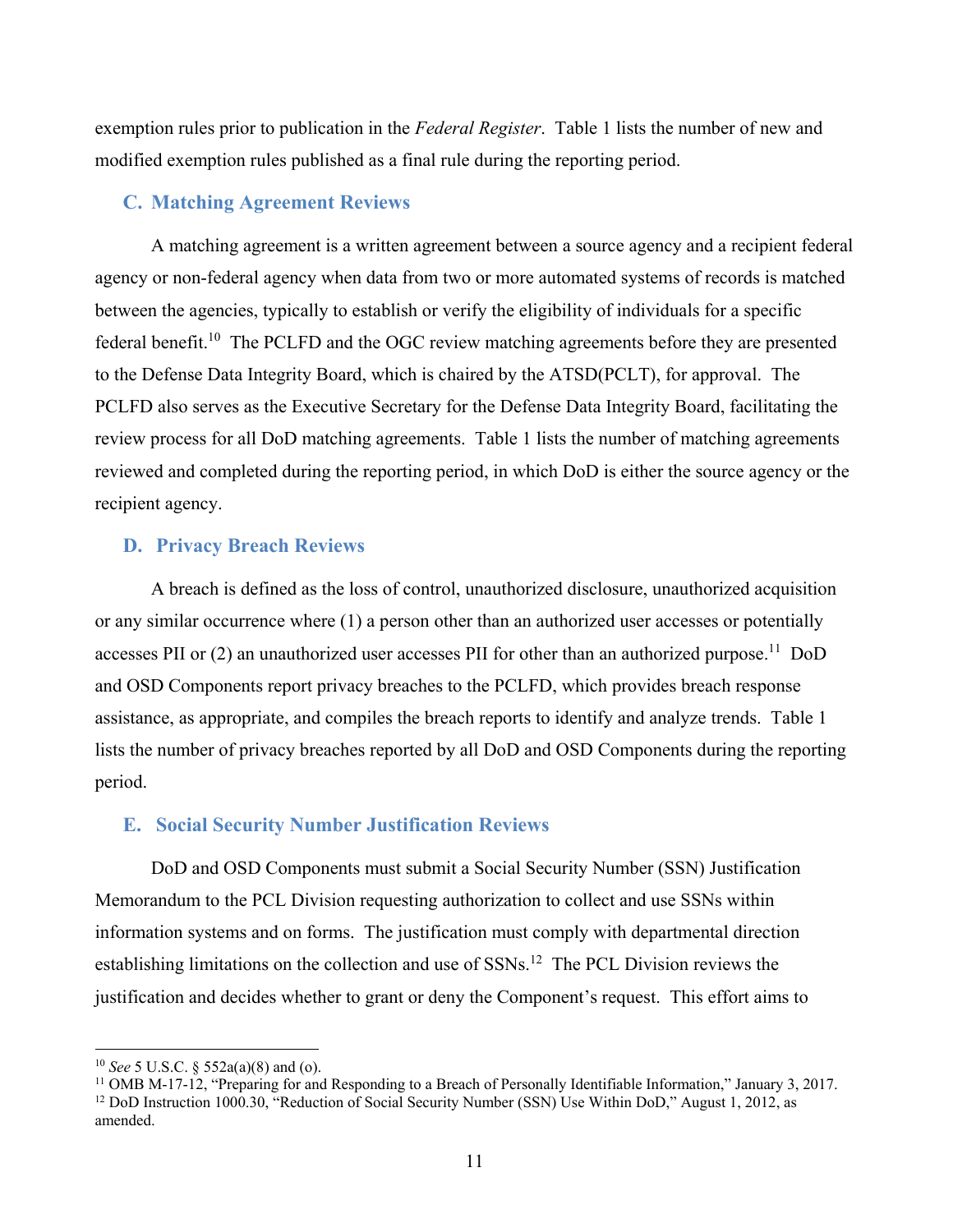exemption rules prior to publication in the *Federal Register*. Table 1 lists the number of new and modified exemption rules published as a final rule during the reporting period.

#### **C. Matching Agreement Reviews**

A matching agreement is a written agreement between a source agency and a recipient federal agency or non-federal agency when data from two or more automated systems of records is matched between the agencies, typically to establish or verify the eligibility of individuals for a specific federal benefit.<sup>10</sup> The PCLFD and the OGC review matching agreements before they are presented to the Defense Data Integrity Board, which is chaired by the ATSD(PCLT), for approval. The PCLFD also serves as the Executive Secretary for the Defense Data Integrity Board, facilitating the review process for all DoD matching agreements. Table 1 lists the number of matching agreements reviewed and completed during the reporting period, in which DoD is either the source agency or the recipient agency.

#### **D. Privacy Breach Reviews**

A breach is defined as the loss of control, unauthorized disclosure, unauthorized acquisition or any similar occurrence where (1) a person other than an authorized user accesses or potentially accesses PII or (2) an unauthorized user accesses PII for other than an authorized purpose.<sup>11</sup> DoD and OSD Components report privacy breaches to the PCLFD, which provides breach response assistance, as appropriate, and compiles the breach reports to identify and analyze trends. Table 1 lists the number of privacy breaches reported by all DoD and OSD Components during the reporting period.

#### **E. Social Security Number Justification Reviews**

DoD and OSD Components must submit a Social Security Number (SSN) Justification Memorandum to the PCL Division requesting authorization to collect and use SSNs within information systems and on forms. The justification must comply with departmental direction establishing limitations on the collection and use of SSNs.<sup>12</sup> The PCL Division reviews the justification and decides whether to grant or deny the Component's request. This effort aims to

 $\overline{a}$ 

<sup>&</sup>lt;sup>10</sup> *See* 5 U.S.C. § 552a(a)(8) and (o).<br><sup>11</sup> OMB M-17-12, "Preparing for and Responding to a Breach of Personally Identifiable Information," January 3, 2017. <sup>12</sup> DoD Instruction 1000.30, "Reduction of Social Security Number (SSN) Use Within DoD," August 1, 2012, as amended.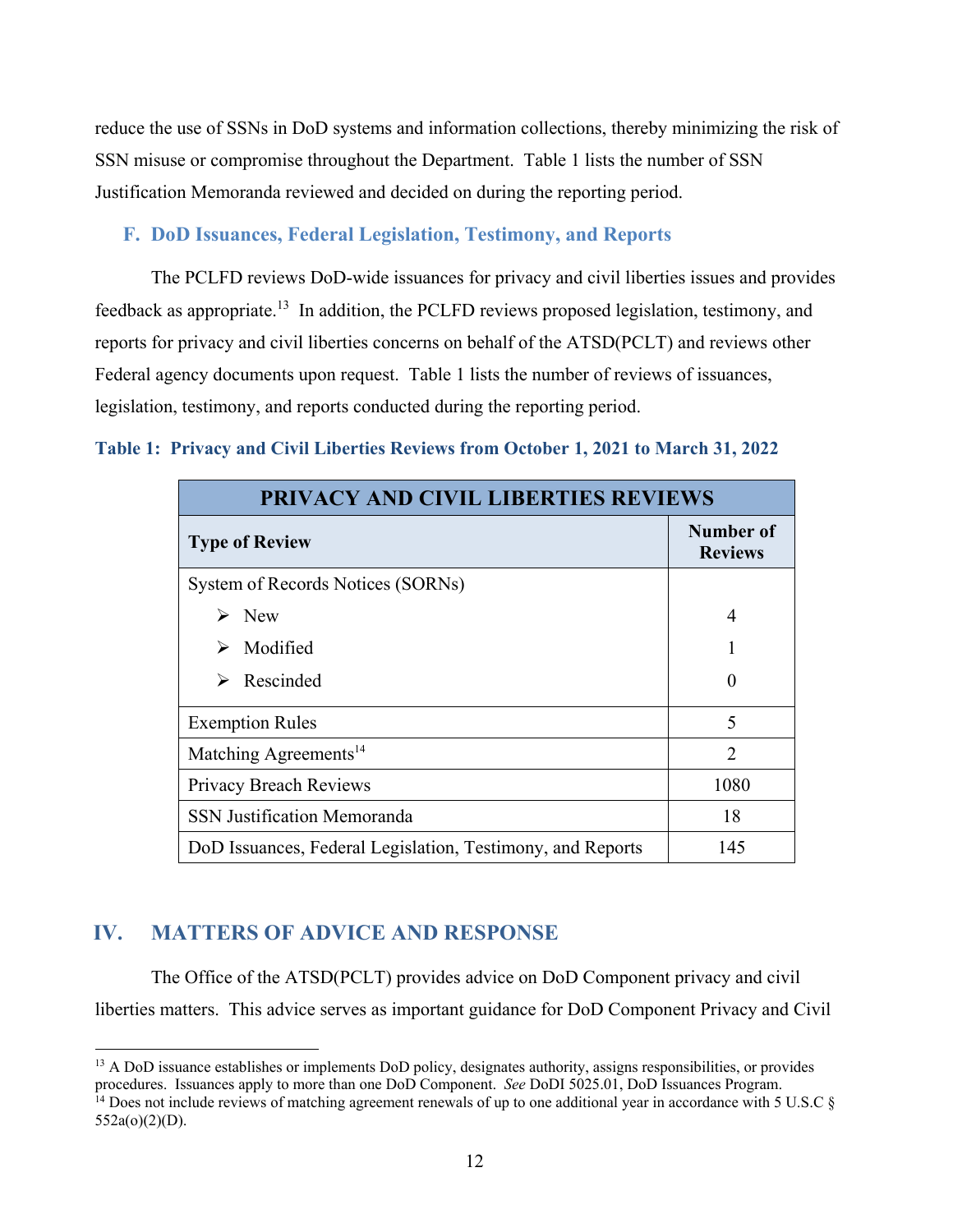reduce the use of SSNs in DoD systems and information collections, thereby minimizing the risk of SSN misuse or compromise throughout the Department. Table 1 lists the number of SSN Justification Memoranda reviewed and decided on during the reporting period.

## **F. DoD Issuances, Federal Legislation, Testimony, and Reports**

The PCLFD reviews DoD-wide issuances for privacy and civil liberties issues and provides feedback as appropriate.13 In addition, the PCLFD reviews proposed legislation, testimony, and reports for privacy and civil liberties concerns on behalf of the ATSD(PCLT) and reviews other Federal agency documents upon request. Table 1 lists the number of reviews of issuances, legislation, testimony, and reports conducted during the reporting period.

### **Table 1: Privacy and Civil Liberties Reviews from October 1, 2021 to March 31, 2022**

| <b>PRIVACY AND CIVIL LIBERTIES REVIEWS</b>                 |                             |  |  |  |
|------------------------------------------------------------|-----------------------------|--|--|--|
| <b>Type of Review</b>                                      | Number of<br><b>Reviews</b> |  |  |  |
| System of Records Notices (SORNs)                          |                             |  |  |  |
| <b>New</b><br>➤                                            | 4                           |  |  |  |
| Modified                                                   |                             |  |  |  |
| Rescinded                                                  |                             |  |  |  |
| <b>Exemption Rules</b>                                     | $\overline{\mathcal{L}}$    |  |  |  |
| Matching Agreements <sup>14</sup>                          | $\mathcal{D}$               |  |  |  |
| Privacy Breach Reviews                                     | 1080                        |  |  |  |
| <b>SSN Justification Memoranda</b>                         | 18                          |  |  |  |
| DoD Issuances, Federal Legislation, Testimony, and Reports | 145                         |  |  |  |

## **IV. MATTERS OF ADVICE AND RESPONSE**

 $\overline{a}$ 

The Office of the ATSD(PCLT) provides advice on DoD Component privacy and civil liberties matters. This advice serves as important guidance for DoD Component Privacy and Civil

<sup>&</sup>lt;sup>13</sup> A DoD issuance establishes or implements DoD policy, designates authority, assigns responsibilities, or provides procedures. Issuances apply to more than one DoD Component. *See* DoDI 5025.01, DoD Issuances Program.<br><sup>14</sup> Does not include reviews of matching agreement renewals of up to one additional year in accordance with 5 U.S.C §

<sup>552</sup>a(o)(2)(D).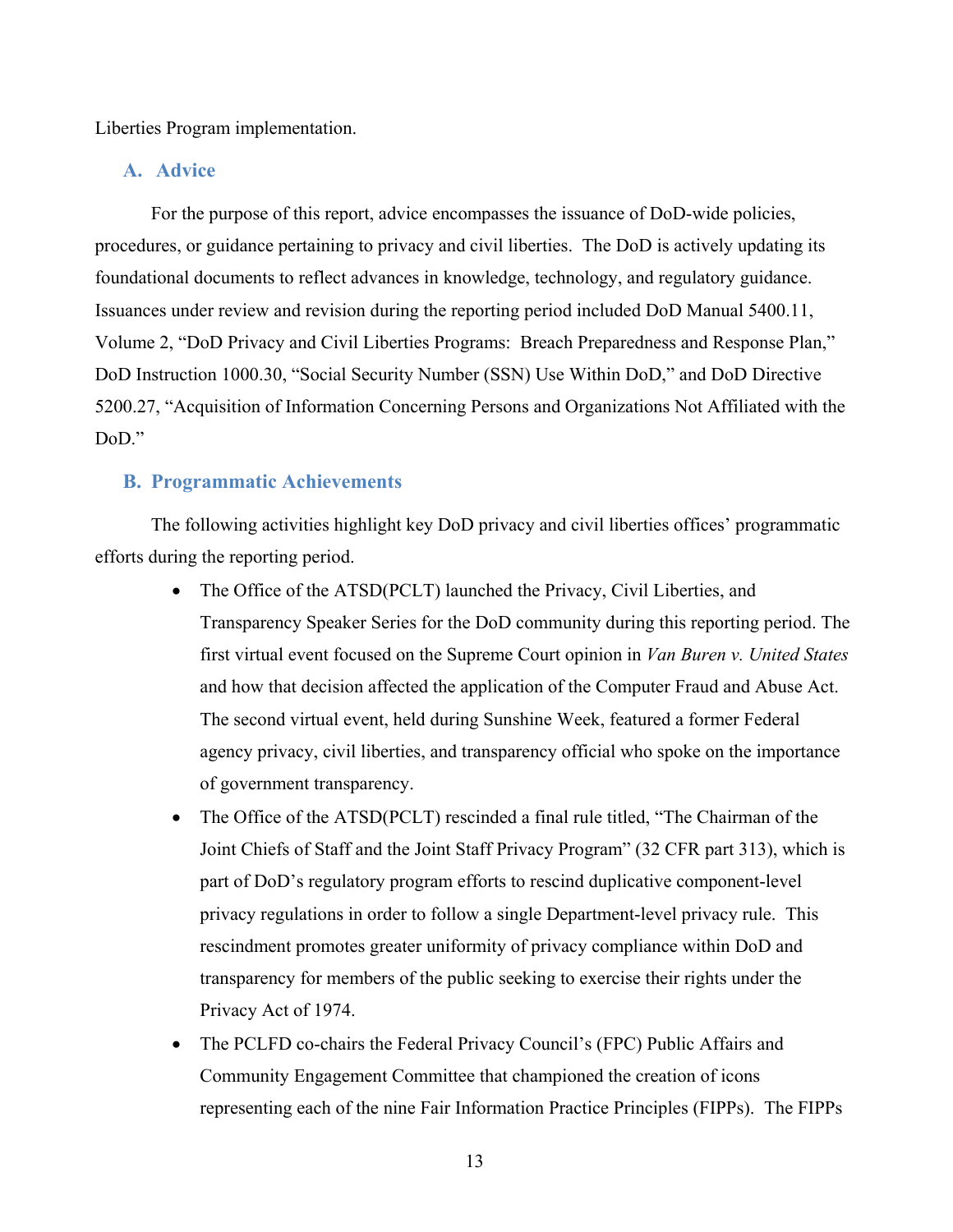Liberties Program implementation.

#### **A. Advice**

For the purpose of this report, advice encompasses the issuance of DoD-wide policies, procedures, or guidance pertaining to privacy and civil liberties. The DoD is actively updating its foundational documents to reflect advances in knowledge, technology, and regulatory guidance. Issuances under review and revision during the reporting period included DoD Manual 5400.11, Volume 2, "DoD Privacy and Civil Liberties Programs: Breach Preparedness and Response Plan," DoD Instruction 1000.30, "Social Security Number (SSN) Use Within DoD," and DoD Directive 5200.27, "Acquisition of Information Concerning Persons and Organizations Not Affiliated with the DoD."

#### **B. Programmatic Achievements**

The following activities highlight key DoD privacy and civil liberties offices' programmatic efforts during the reporting period.

- The Office of the ATSD(PCLT) launched the Privacy, Civil Liberties, and Transparency Speaker Series for the DoD community during this reporting period. The first virtual event focused on the Supreme Court opinion in *Van Buren v. United States* and how that decision affected the application of the Computer Fraud and Abuse Act. The second virtual event, held during Sunshine Week, featured a former Federal agency privacy, civil liberties, and transparency official who spoke on the importance of government transparency.
- The Office of the ATSD(PCLT) rescinded a final rule titled, "The Chairman of the Joint Chiefs of Staff and the Joint Staff Privacy Program" (32 CFR part 313), which is part of DoD's regulatory program efforts to rescind duplicative component-level privacy regulations in order to follow a single Department-level privacy rule. This rescindment promotes greater uniformity of privacy compliance within DoD and transparency for members of the public seeking to exercise their rights under the Privacy Act of 1974.
- The PCLFD co-chairs the Federal Privacy Council's (FPC) Public Affairs and Community Engagement Committee that championed the creation of icons representing each of the nine Fair Information Practice Principles (FIPPs). The FIPPs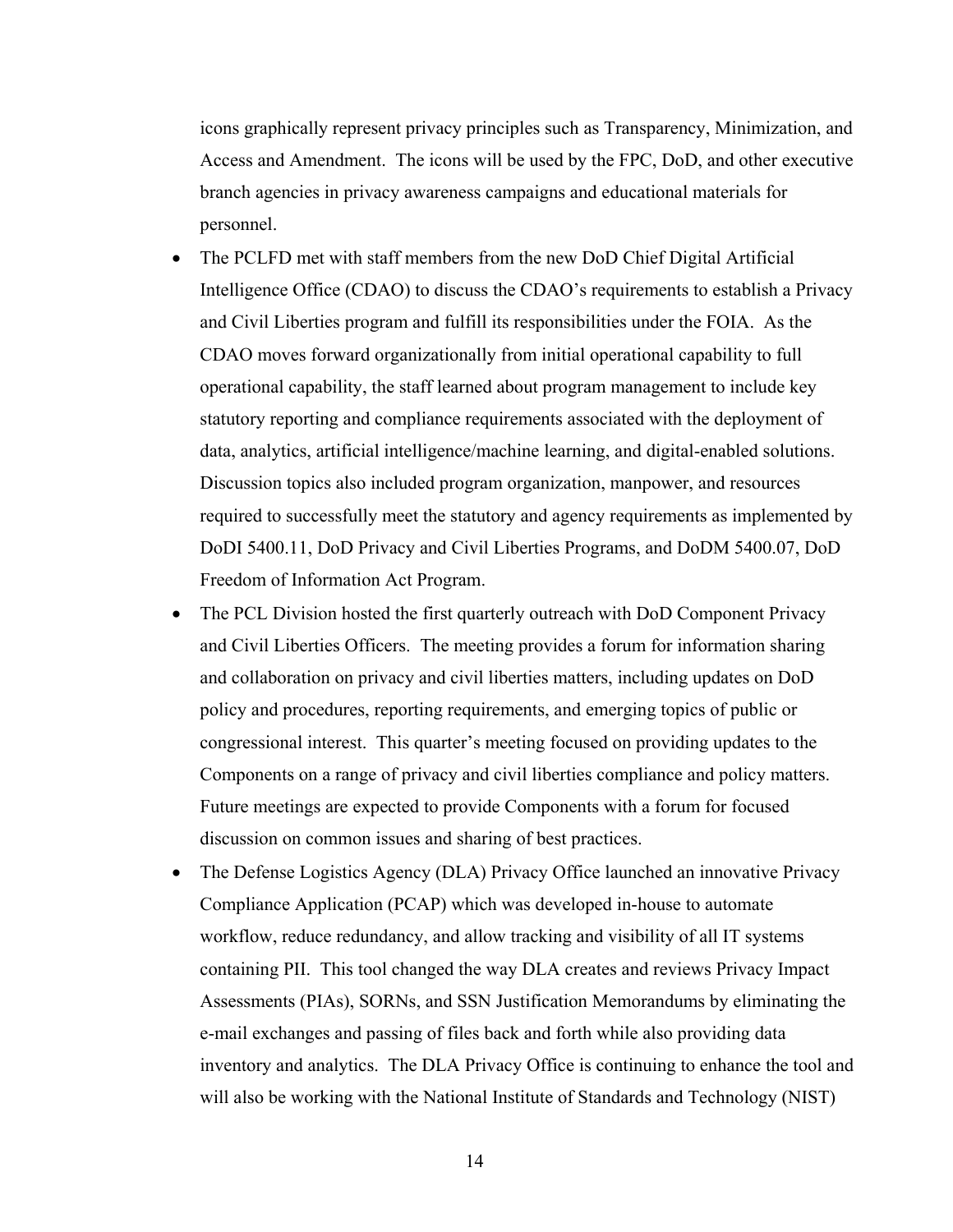icons graphically represent privacy principles such as Transparency, Minimization, and Access and Amendment. The icons will be used by the FPC, DoD, and other executive branch agencies in privacy awareness campaigns and educational materials for personnel.

- The PCLFD met with staff members from the new DoD Chief Digital Artificial Intelligence Office (CDAO) to discuss the CDAO's requirements to establish a Privacy and Civil Liberties program and fulfill its responsibilities under the FOIA. As the CDAO moves forward organizationally from initial operational capability to full operational capability, the staff learned about program management to include key statutory reporting and compliance requirements associated with the deployment of data, analytics, artificial intelligence/machine learning, and digital-enabled solutions. Discussion topics also included program organization, manpower, and resources required to successfully meet the statutory and agency requirements as implemented by DoDI 5400.11, DoD Privacy and Civil Liberties Programs, and DoDM 5400.07, DoD Freedom of Information Act Program.
- The PCL Division hosted the first quarterly outreach with DoD Component Privacy and Civil Liberties Officers. The meeting provides a forum for information sharing and collaboration on privacy and civil liberties matters, including updates on DoD policy and procedures, reporting requirements, and emerging topics of public or congressional interest. This quarter's meeting focused on providing updates to the Components on a range of privacy and civil liberties compliance and policy matters. Future meetings are expected to provide Components with a forum for focused discussion on common issues and sharing of best practices.
- The Defense Logistics Agency (DLA) Privacy Office launched an innovative Privacy Compliance Application (PCAP) which was developed in-house to automate workflow, reduce redundancy, and allow tracking and visibility of all IT systems containing PII. This tool changed the way DLA creates and reviews Privacy Impact Assessments (PIAs), SORNs, and SSN Justification Memorandums by eliminating the e-mail exchanges and passing of files back and forth while also providing data inventory and analytics. The DLA Privacy Office is continuing to enhance the tool and will also be working with the National Institute of Standards and Technology (NIST)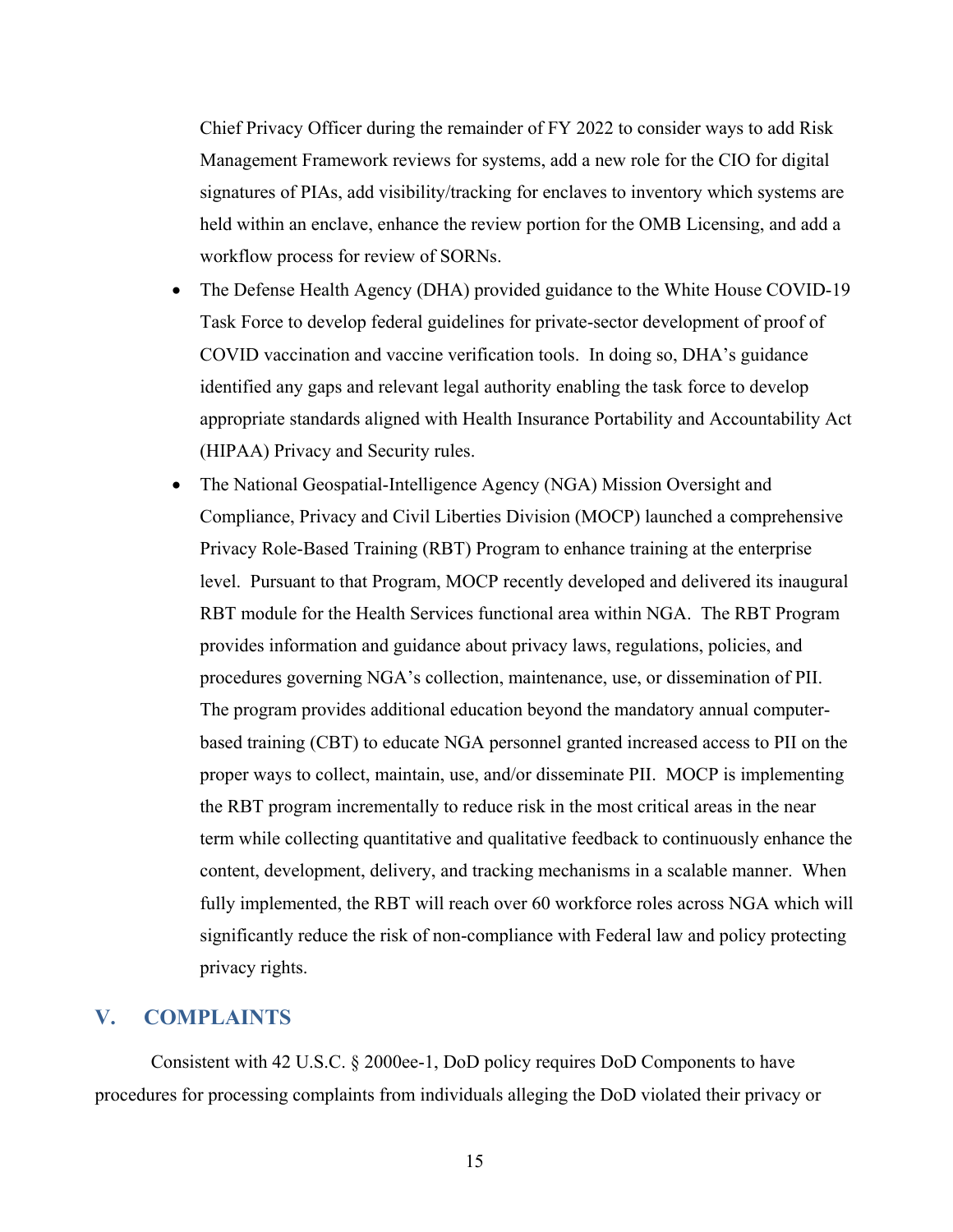Chief Privacy Officer during the remainder of FY 2022 to consider ways to add Risk Management Framework reviews for systems, add a new role for the CIO for digital signatures of PIAs, add visibility/tracking for enclaves to inventory which systems are held within an enclave, enhance the review portion for the OMB Licensing, and add a workflow process for review of SORNs.

- The Defense Health Agency (DHA) provided guidance to the White House COVID-19 Task Force to develop federal guidelines for private-sector development of proof of COVID vaccination and vaccine verification tools. In doing so, DHA's guidance identified any gaps and relevant legal authority enabling the task force to develop appropriate standards aligned with Health Insurance Portability and Accountability Act (HIPAA) Privacy and Security rules.
- The National Geospatial-Intelligence Agency (NGA) Mission Oversight and Compliance, Privacy and Civil Liberties Division (MOCP) launched a comprehensive Privacy Role-Based Training (RBT) Program to enhance training at the enterprise level. Pursuant to that Program, MOCP recently developed and delivered its inaugural RBT module for the Health Services functional area within NGA. The RBT Program provides information and guidance about privacy laws, regulations, policies, and procedures governing NGA's collection, maintenance, use, or dissemination of PII. The program provides additional education beyond the mandatory annual computerbased training (CBT) to educate NGA personnel granted increased access to PII on the proper ways to collect, maintain, use, and/or disseminate PII. MOCP is implementing the RBT program incrementally to reduce risk in the most critical areas in the near term while collecting quantitative and qualitative feedback to continuously enhance the content, development, delivery, and tracking mechanisms in a scalable manner. When fully implemented, the RBT will reach over 60 workforce roles across NGA which will significantly reduce the risk of non-compliance with Federal law and policy protecting privacy rights.

## **V. COMPLAINTS**

Consistent with 42 U.S.C. § 2000ee-1, DoD policy requires DoD Components to have procedures for processing complaints from individuals alleging the DoD violated their privacy or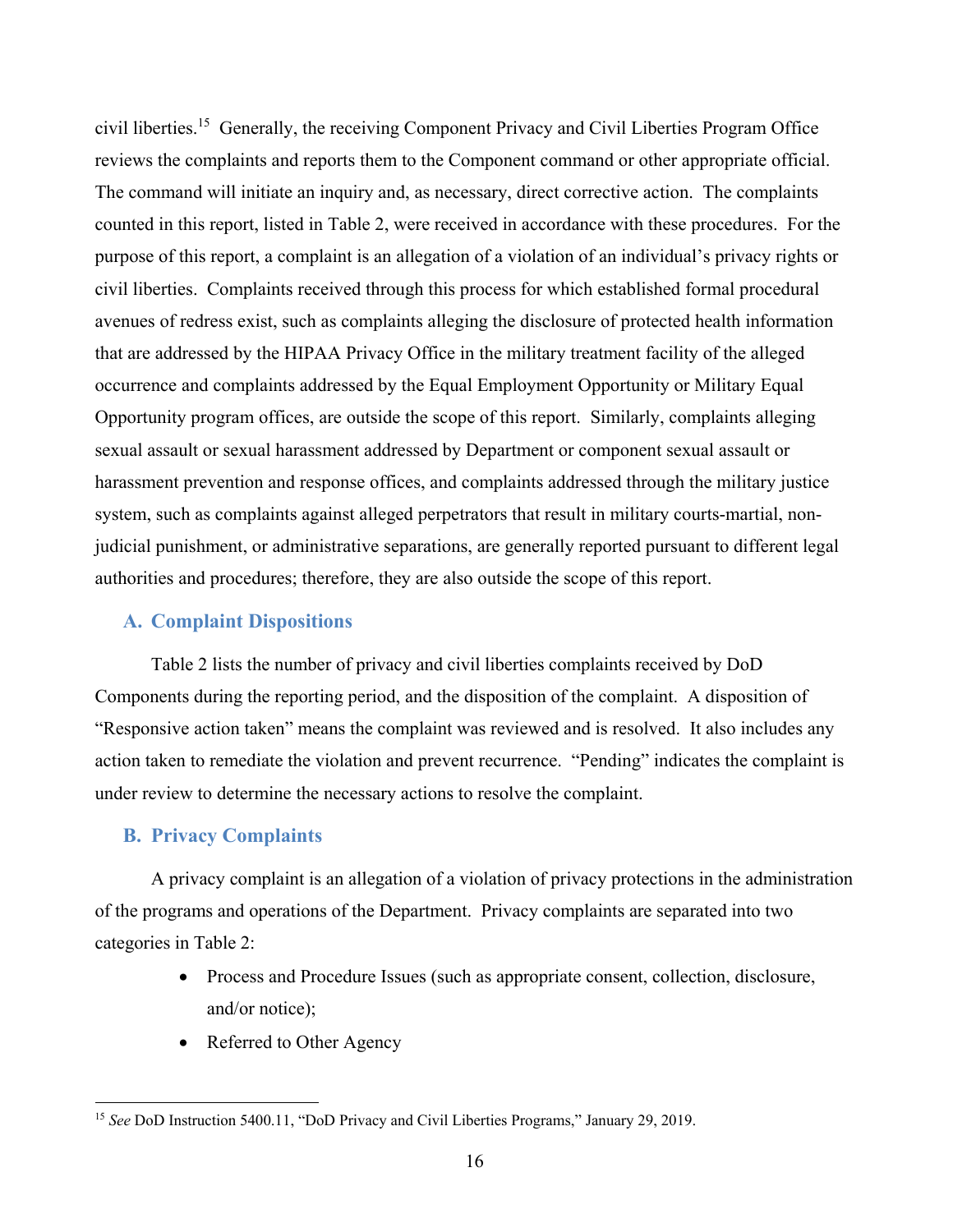civil liberties.15 Generally, the receiving Component Privacy and Civil Liberties Program Office reviews the complaints and reports them to the Component command or other appropriate official. The command will initiate an inquiry and, as necessary, direct corrective action. The complaints counted in this report, listed in Table 2, were received in accordance with these procedures. For the purpose of this report, a complaint is an allegation of a violation of an individual's privacy rights or civil liberties. Complaints received through this process for which established formal procedural avenues of redress exist, such as complaints alleging the disclosure of protected health information that are addressed by the HIPAA Privacy Office in the military treatment facility of the alleged occurrence and complaints addressed by the Equal Employment Opportunity or Military Equal Opportunity program offices, are outside the scope of this report. Similarly, complaints alleging sexual assault or sexual harassment addressed by Department or component sexual assault or harassment prevention and response offices, and complaints addressed through the military justice system, such as complaints against alleged perpetrators that result in military courts-martial, nonjudicial punishment, or administrative separations, are generally reported pursuant to different legal authorities and procedures; therefore, they are also outside the scope of this report.

#### **A. Complaint Dispositions**

Table 2 lists the number of privacy and civil liberties complaints received by DoD Components during the reporting period, and the disposition of the complaint. A disposition of "Responsive action taken" means the complaint was reviewed and is resolved. It also includes any action taken to remediate the violation and prevent recurrence. "Pending" indicates the complaint is under review to determine the necessary actions to resolve the complaint.

#### **B. Privacy Complaints**

 $\overline{a}$ 

A privacy complaint is an allegation of a violation of privacy protections in the administration of the programs and operations of the Department. Privacy complaints are separated into two categories in Table 2:

- Process and Procedure Issues (such as appropriate consent, collection, disclosure, and/or notice);
- Referred to Other Agency

<sup>15</sup> *See* DoD Instruction 5400.11, "DoD Privacy and Civil Liberties Programs," January 29, 2019.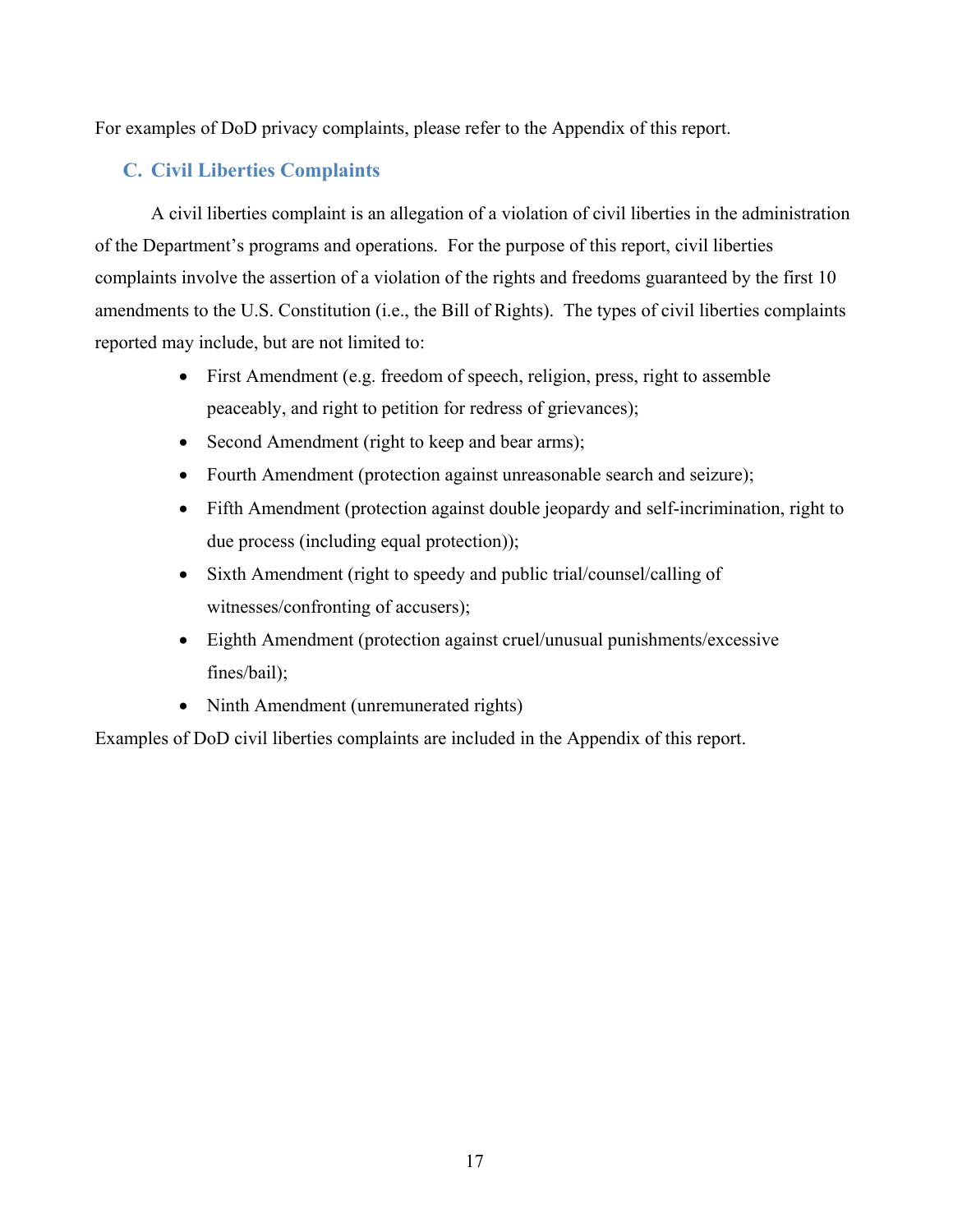For examples of DoD privacy complaints, please refer to the Appendix of this report.

## **C. Civil Liberties Complaints**

A civil liberties complaint is an allegation of a violation of civil liberties in the administration of the Department's programs and operations. For the purpose of this report, civil liberties complaints involve the assertion of a violation of the rights and freedoms guaranteed by the first 10 amendments to the U.S. Constitution (i.e., the Bill of Rights). The types of civil liberties complaints reported may include, but are not limited to:

- First Amendment (e.g. freedom of speech, religion, press, right to assemble peaceably, and right to petition for redress of grievances);
- Second Amendment (right to keep and bear arms);
- Fourth Amendment (protection against unreasonable search and seizure);
- Fifth Amendment (protection against double jeopardy and self-incrimination, right to due process (including equal protection));
- Sixth Amendment (right to speedy and public trial/counsel/calling of witnesses/confronting of accusers);
- Eighth Amendment (protection against cruel/unusual punishments/excessive fines/bail);
- Ninth Amendment (unremunerated rights)

Examples of DoD civil liberties complaints are included in the Appendix of this report.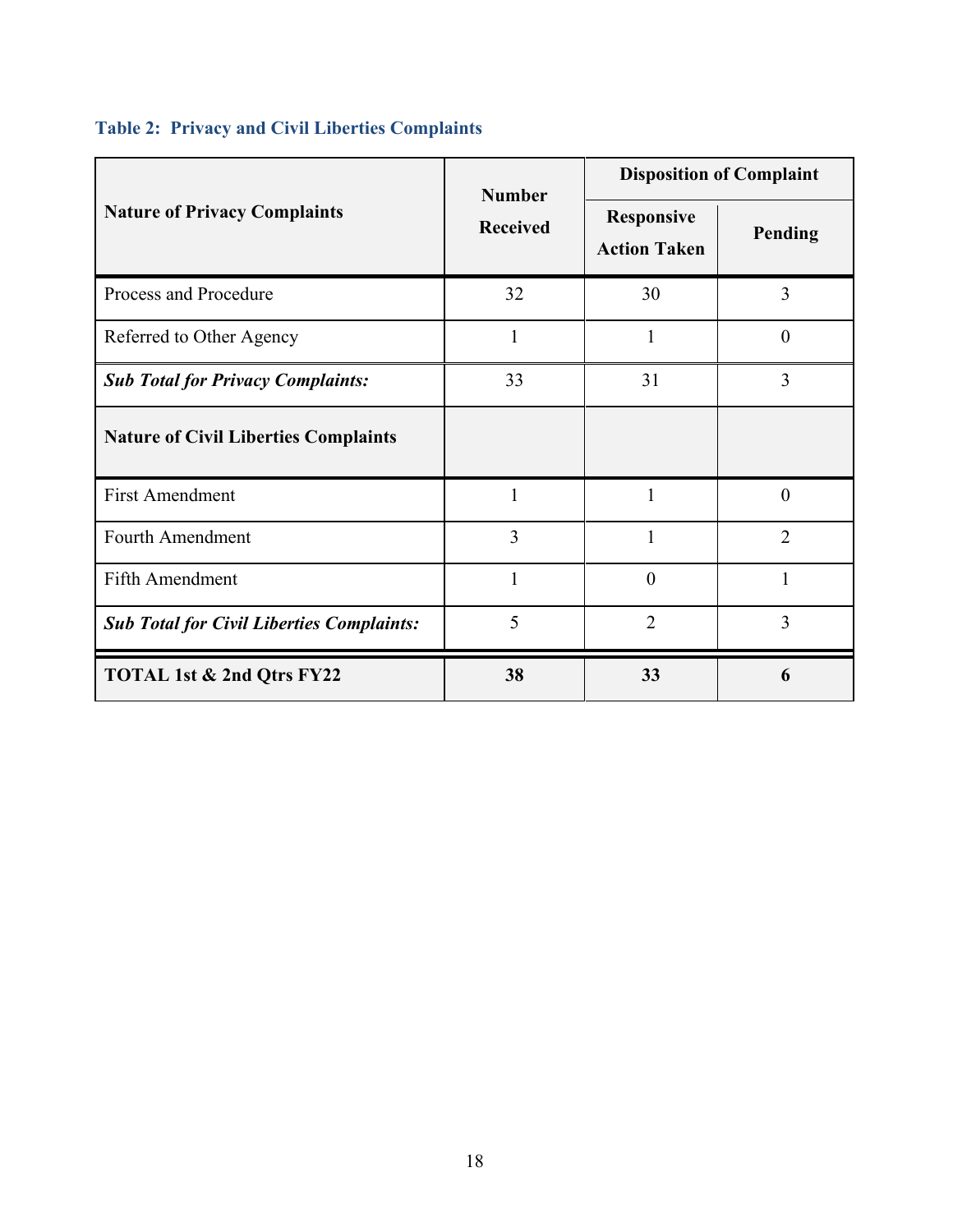## **Table 2: Privacy and Civil Liberties Complaints**

|                                                  | <b>Number</b><br><b>Received</b> | <b>Disposition of Complaint</b>          |                |
|--------------------------------------------------|----------------------------------|------------------------------------------|----------------|
| <b>Nature of Privacy Complaints</b>              |                                  | <b>Responsive</b><br><b>Action Taken</b> | Pending        |
| Process and Procedure                            | 32                               | 30                                       | 3              |
| Referred to Other Agency                         | $\mathbf{1}$                     | 1                                        | $\overline{0}$ |
| <b>Sub Total for Privacy Complaints:</b>         | 33                               | 31                                       | 3              |
| <b>Nature of Civil Liberties Complaints</b>      |                                  |                                          |                |
| <b>First Amendment</b>                           | 1                                | 1                                        | $\theta$       |
| <b>Fourth Amendment</b>                          | 3                                | 1                                        | $\overline{2}$ |
| Fifth Amendment                                  |                                  | $\theta$                                 |                |
| <b>Sub Total for Civil Liberties Complaints:</b> | 5                                | $\overline{2}$                           | 3              |
| TOTAL 1st & 2nd Qtrs FY22                        | 38                               | 33                                       | 6              |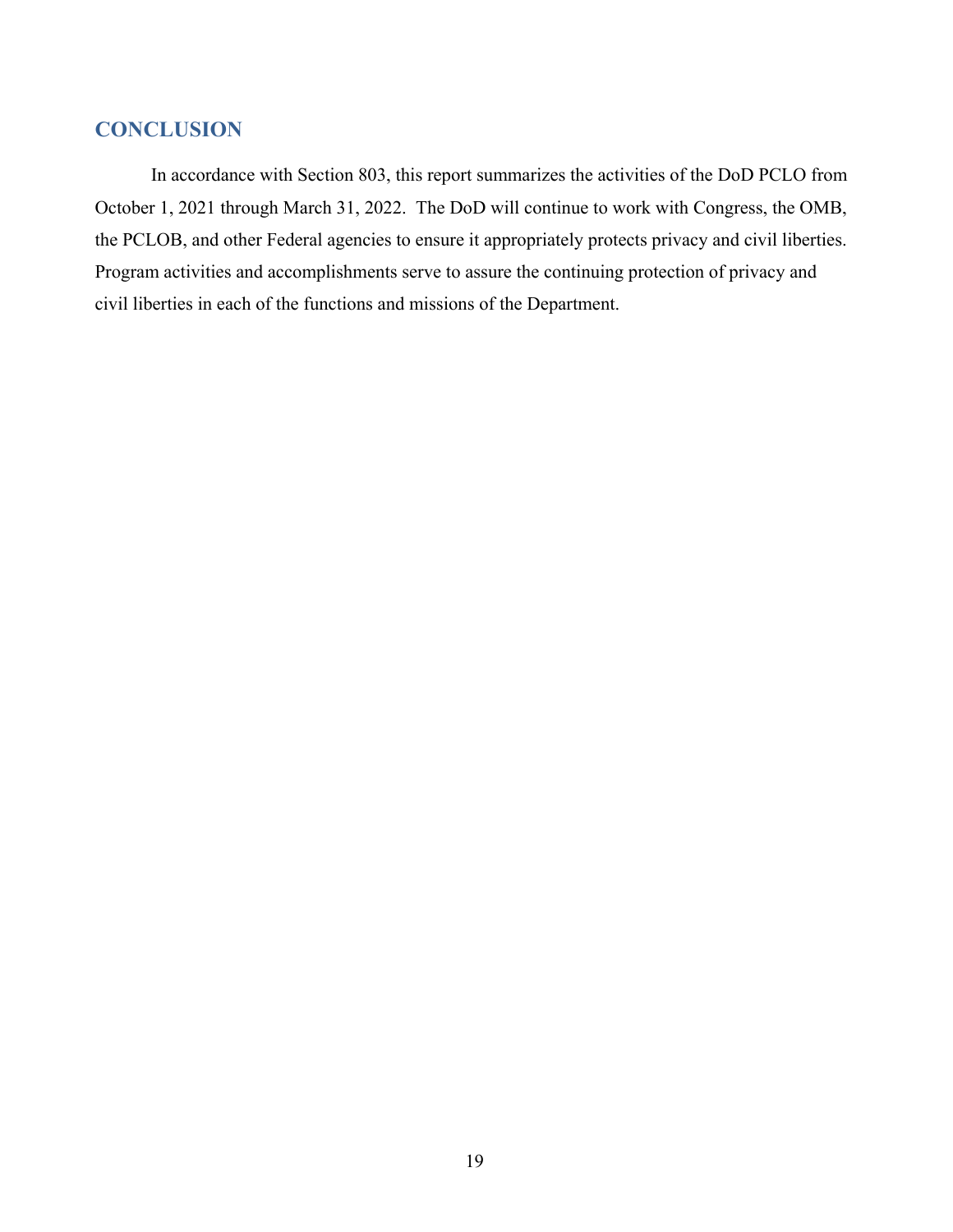## **CONCLUSION**

In accordance with Section 803, this report summarizes the activities of the DoD PCLO from October 1, 2021 through March 31, 2022. The DoD will continue to work with Congress, the OMB, the PCLOB, and other Federal agencies to ensure it appropriately protects privacy and civil liberties. Program activities and accomplishments serve to assure the continuing protection of privacy and civil liberties in each of the functions and missions of the Department.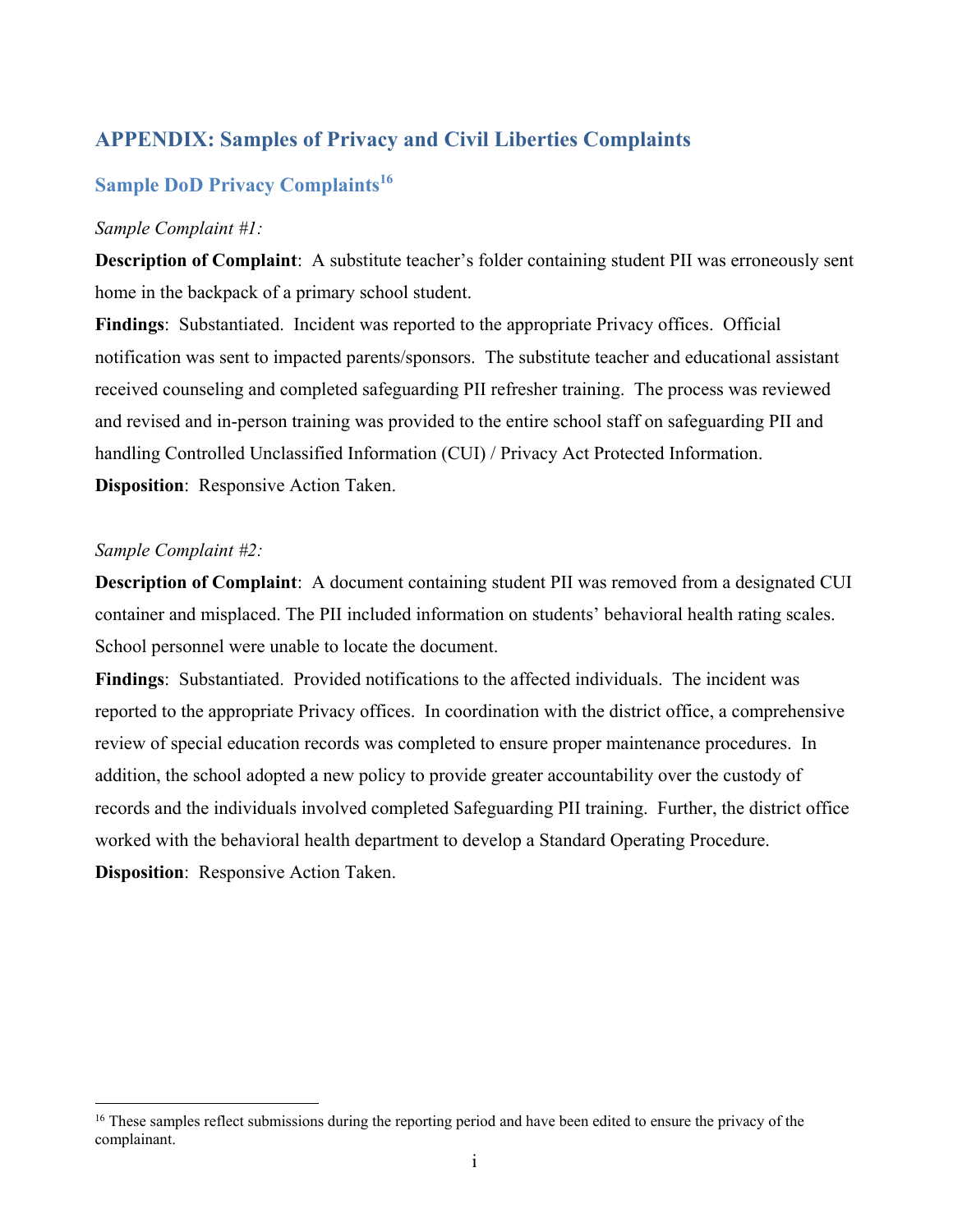## **APPENDIX: Samples of Privacy and Civil Liberties Complaints**

## **Sample DoD Privacy Complaints**<sup>16</sup>

#### *Sample Complaint #1:*

**Description of Complaint**: A substitute teacher's folder containing student PII was erroneously sent home in the backpack of a primary school student.

**Findings**: Substantiated. Incident was reported to the appropriate Privacy offices. Official notification was sent to impacted parents/sponsors. The substitute teacher and educational assistant received counseling and completed safeguarding PII refresher training. The process was reviewed and revised and in-person training was provided to the entire school staff on safeguarding PII and handling Controlled Unclassified Information (CUI) / Privacy Act Protected Information. **Disposition**: Responsive Action Taken.

#### *Sample Complaint #2:*

 $\overline{a}$ 

**Description of Complaint**: A document containing student PII was removed from a designated CUI container and misplaced. The PII included information on students' behavioral health rating scales. School personnel were unable to locate the document.

**Findings**: Substantiated. Provided notifications to the affected individuals. The incident was reported to the appropriate Privacy offices. In coordination with the district office, a comprehensive review of special education records was completed to ensure proper maintenance procedures. In addition, the school adopted a new policy to provide greater accountability over the custody of records and the individuals involved completed Safeguarding PII training. Further, the district office worked with the behavioral health department to develop a Standard Operating Procedure. **Disposition**: Responsive Action Taken.

<sup>&</sup>lt;sup>16</sup> These samples reflect submissions during the reporting period and have been edited to ensure the privacy of the complainant.